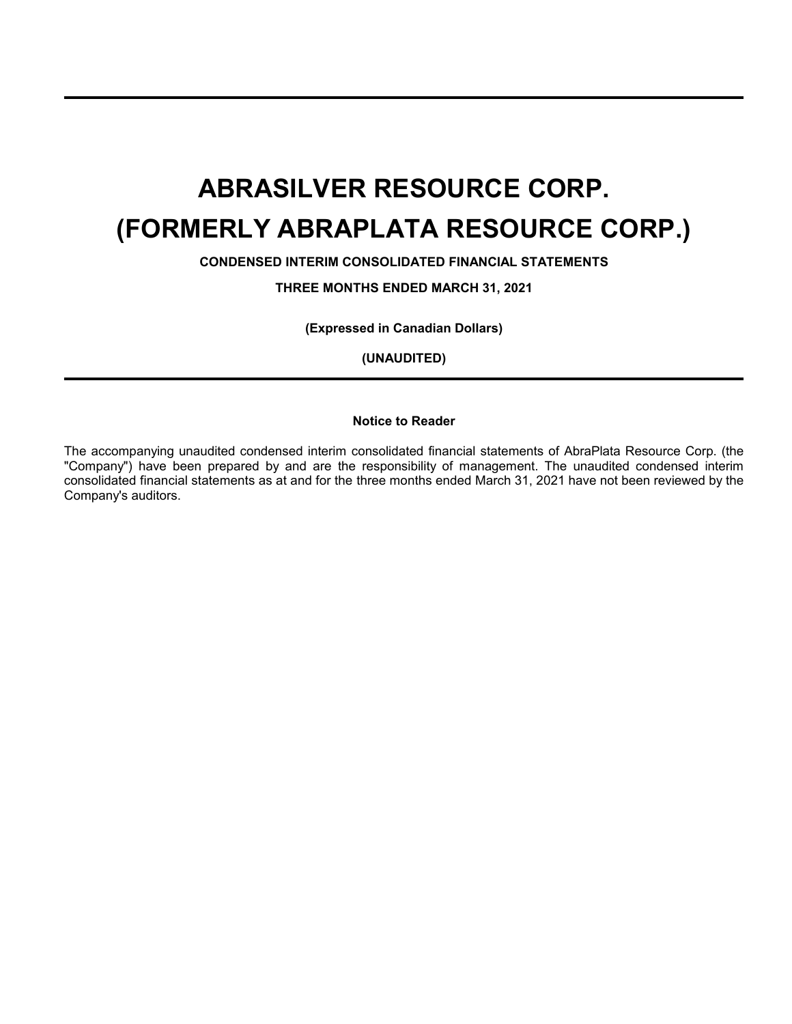**CONDENSED INTERIM CONSOLIDATED FINANCIAL STATEMENTS**

**THREE MONTHS ENDED MARCH 31, 2021**

**(Expressed in Canadian Dollars)**

**(UNAUDITED)**

### **Notice to Reader**

The accompanying unaudited condensed interim consolidated financial statements of AbraPlata Resource Corp. (the "Company") have been prepared by and are the responsibility of management. The unaudited condensed interim consolidated financial statements as at and for the three months ended March 31, 2021 have not been reviewed by the Company's auditors.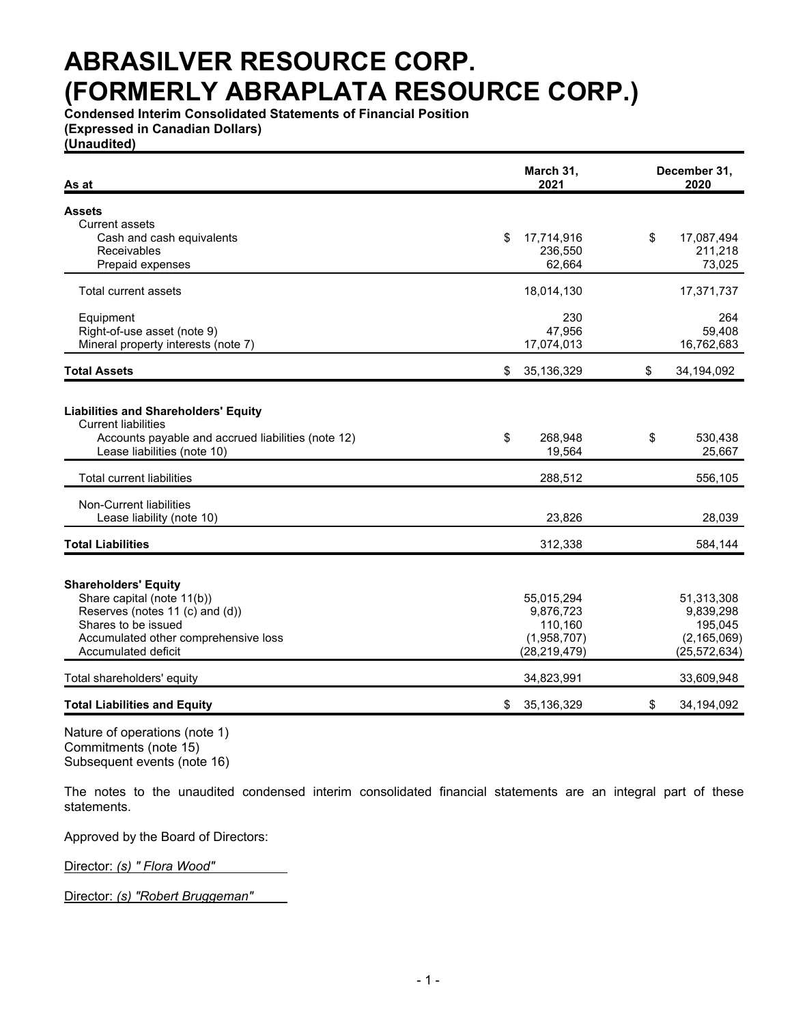**Condensed Interim Consolidated Statements of Financial Position (Expressed in Canadian Dollars)**

**(Unaudited)**

| As at                                                                     | March 31,<br>2021 | December 31,<br>2020 |
|---------------------------------------------------------------------------|-------------------|----------------------|
| <b>Assets</b>                                                             |                   |                      |
| <b>Current assets</b>                                                     |                   |                      |
| Cash and cash equivalents                                                 | \$<br>17,714,916  | \$<br>17,087,494     |
| Receivables                                                               | 236,550           | 211,218              |
| Prepaid expenses                                                          | 62,664            | 73,025               |
| Total current assets                                                      | 18,014,130        | 17,371,737           |
| Equipment                                                                 | 230               | 264                  |
| Right-of-use asset (note 9)                                               | 47,956            | 59,408               |
| Mineral property interests (note 7)                                       | 17,074,013        | 16,762,683           |
| <b>Total Assets</b>                                                       | \$<br>35,136,329  | \$<br>34,194,092     |
|                                                                           |                   |                      |
| <b>Liabilities and Shareholders' Equity</b><br><b>Current liabilities</b> |                   |                      |
| Accounts payable and accrued liabilities (note 12)                        | \$<br>268,948     | \$<br>530,438        |
| Lease liabilities (note 10)                                               | 19,564            | 25,667               |
| <b>Total current liabilities</b>                                          | 288,512           | 556,105              |
| Non-Current liabilities                                                   |                   |                      |
| Lease liability (note 10)                                                 | 23,826            | 28,039               |
| <b>Total Liabilities</b>                                                  | 312,338           | 584,144              |
|                                                                           |                   |                      |
| <b>Shareholders' Equity</b>                                               |                   |                      |
| Share capital (note 11(b))                                                | 55,015,294        | 51,313,308           |
| Reserves (notes 11 (c) and (d))                                           | 9,876,723         | 9,839,298            |
| Shares to be issued                                                       | 110,160           | 195,045              |
| Accumulated other comprehensive loss                                      | (1,958,707)       | (2, 165, 069)        |
| Accumulated deficit                                                       | (28, 219, 479)    | (25, 572, 634)       |
| Total shareholders' equity                                                | 34,823,991        | 33,609,948           |
| <b>Total Liabilities and Equity</b>                                       | \$<br>35,136,329  | \$<br>34,194,092     |

Nature of operations (note 1) Commitments (note 15) Subsequent events (note 16)

The notes to the unaudited condensed interim consolidated financial statements are an integral part of these statements.

Approved by the Board of Directors:

Director: *(s) " Flora Wood"*

Director: *(s) "Robert Bruggeman"*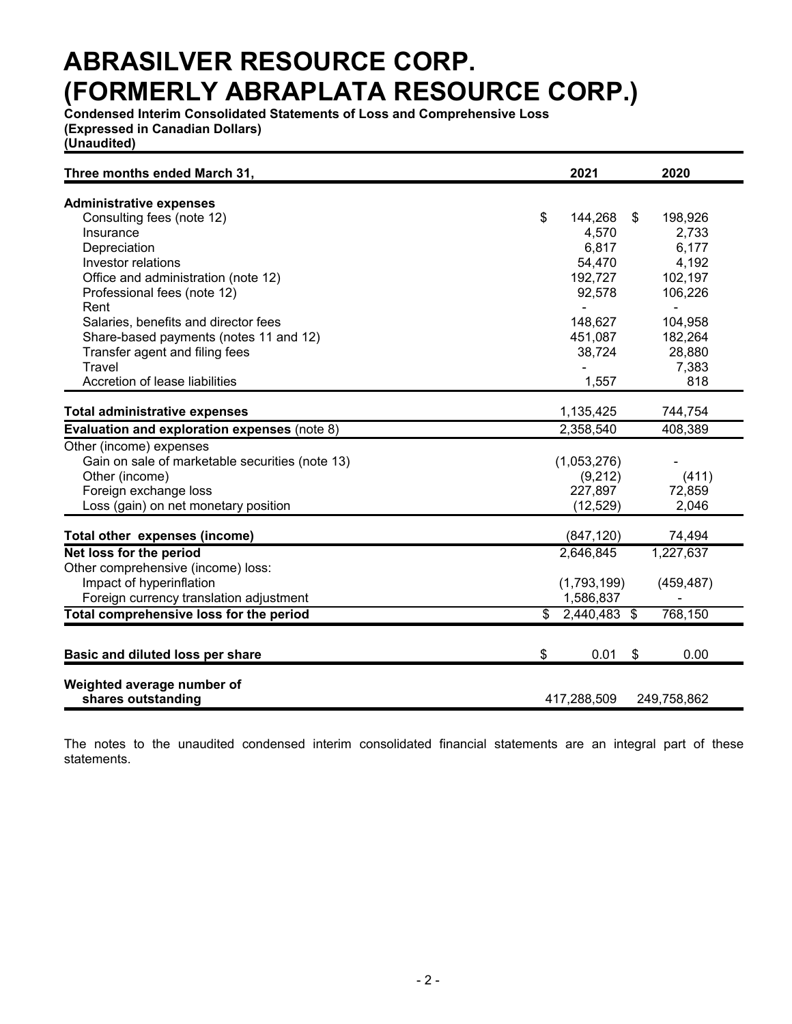**Condensed Interim Consolidated Statements of Loss and Comprehensive Loss (Expressed in Canadian Dollars)**

**(Unaudited)**

| Three months ended March 31,                    |                | 2021         | 2020           |
|-------------------------------------------------|----------------|--------------|----------------|
| <b>Administrative expenses</b>                  |                |              |                |
| Consulting fees (note 12)                       | \$             | 144,268      | \$<br>198,926  |
| Insurance                                       |                | 4,570        | 2,733          |
| Depreciation                                    |                | 6,817        | 6,177          |
| Investor relations                              |                | 54,470       | 4,192          |
| Office and administration (note 12)             |                | 192,727      | 102,197        |
| Professional fees (note 12)                     |                | 92,578       | 106,226        |
| Rent                                            |                |              | $\blacksquare$ |
| Salaries, benefits and director fees            |                | 148,627      | 104,958        |
| Share-based payments (notes 11 and 12)          |                | 451,087      | 182,264        |
| Transfer agent and filing fees                  |                | 38,724       | 28,880         |
| Travel                                          |                |              | 7,383          |
| Accretion of lease liabilities                  |                | 1,557        | 818            |
| <b>Total administrative expenses</b>            |                | 1,135,425    | 744,754        |
|                                                 |                |              | 408,389        |
| Evaluation and exploration expenses (note 8)    |                | 2,358,540    |                |
| Other (income) expenses                         |                |              |                |
| Gain on sale of marketable securities (note 13) |                | (1,053,276)  |                |
| Other (income)                                  |                | (9,212)      | (411)          |
| Foreign exchange loss                           |                | 227,897      | 72,859         |
| Loss (gain) on net monetary position            |                | (12, 529)    | 2,046          |
| Total other expenses (income)                   |                | (847, 120)   | 74,494         |
| Net loss for the period                         |                | 2,646,845    | 1,227,637      |
| Other comprehensive (income) loss:              |                |              |                |
| Impact of hyperinflation                        |                | (1,793,199)  | (459, 487)     |
| Foreign currency translation adjustment         |                | 1,586,837    |                |
| Total comprehensive loss for the period         | $\mathfrak{S}$ | 2,440,483 \$ | 768,150        |
|                                                 |                |              |                |
| Basic and diluted loss per share                | \$             | 0.01         | \$<br>0.00     |
| Weighted average number of                      |                |              |                |
| shares outstanding                              |                | 417,288,509  | 249,758,862    |
|                                                 |                |              |                |

The notes to the unaudited condensed interim consolidated financial statements are an integral part of these statements.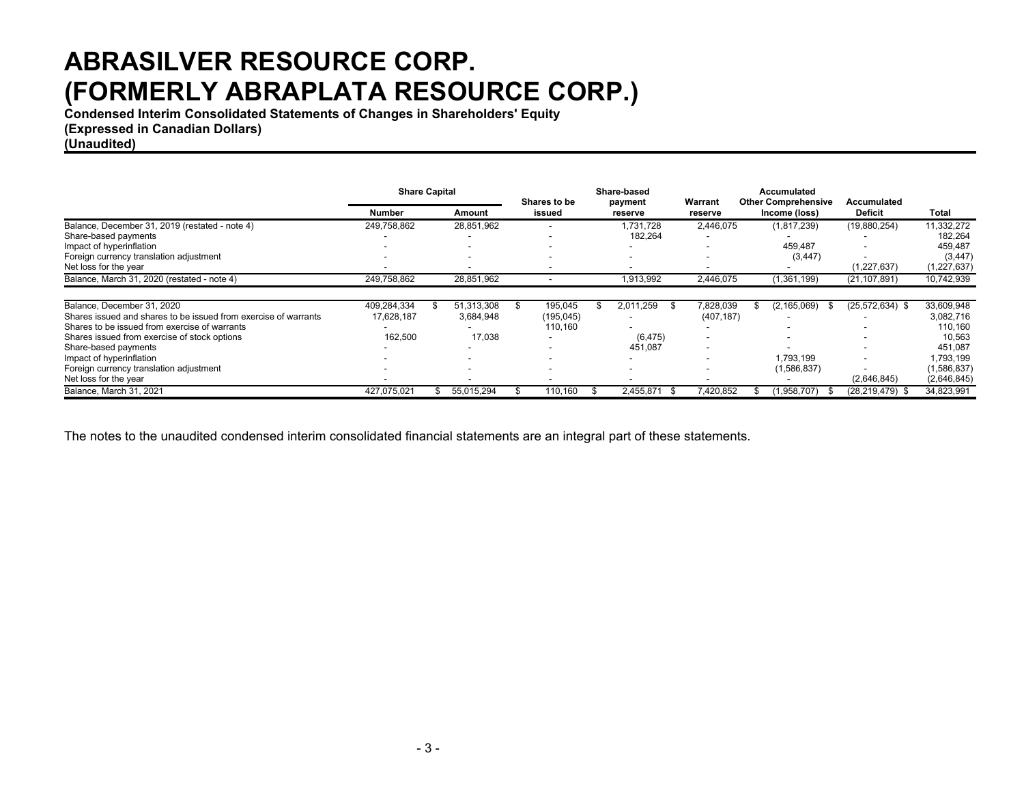**Condensed Interim Consolidated Statements of Changes in Shareholders' Equity**

**(Expressed in Canadian Dollars)**

**(Unaudited)**

|                                                                 | <b>Share Capital</b> |  |                          |    |           |  | Shares to be             |            | Share-based   |                     | Warrant       | Accumulated<br><b>Other Comprehensive</b> | Accumulated |  |
|-----------------------------------------------------------------|----------------------|--|--------------------------|----|-----------|--|--------------------------|------------|---------------|---------------------|---------------|-------------------------------------------|-------------|--|
|                                                                 | Number               |  | Amount                   |    | issued    |  | payment<br>reserve       | reserve    | Income (loss) | <b>Deficit</b>      | Total         |                                           |             |  |
| Balance, December 31, 2019 (restated - note 4)                  | 249,758,862          |  | 28,851,962               |    |           |  | 1,731,728                | 2,446,075  | (1,817,239)   | (19,880,254)        | 11,332,272    |                                           |             |  |
| Share-based payments                                            |                      |  |                          |    |           |  | 182,264                  |            |               |                     | 182,264       |                                           |             |  |
| Impact of hyperinflation                                        |                      |  | $\overline{\phantom{a}}$ |    |           |  |                          |            | 459.487       |                     | 459,487       |                                           |             |  |
| Foreign currency translation adjustment                         |                      |  | $\overline{\phantom{a}}$ |    | ۰         |  | $\overline{\phantom{a}}$ |            | (3, 447)      |                     | (3, 447)      |                                           |             |  |
| Net loss for the year                                           |                      |  |                          |    |           |  | $\overline{\phantom{a}}$ |            |               | (1,227,637)         | (1, 227, 637) |                                           |             |  |
| Balance, March 31, 2020 (restated - note 4)                     | 249,758,862          |  | 28,851,962               |    |           |  | 1,913,992                | 2,446,075  | (1,361,199)   | (21, 107, 891)      | 10,742,939    |                                           |             |  |
|                                                                 |                      |  |                          |    |           |  |                          |            |               |                     |               |                                           |             |  |
| Balance, December 31, 2020                                      | 409,284,334          |  | 51.313.308               | \$ | 195,045   |  | 2,011,259                | 7,828,039  | (2, 165, 069) | $(25, 572, 634)$ \$ | 33,609,948    |                                           |             |  |
| Shares issued and shares to be issued from exercise of warrants | 17,628,187           |  | 3,684,948                |    | (195,045) |  | $\overline{\phantom{a}}$ | (407, 187) |               |                     | 3,082,716     |                                           |             |  |
| Shares to be issued from exercise of warrants                   |                      |  |                          |    | 110,160   |  |                          |            |               |                     | 110.160       |                                           |             |  |
| Shares issued from exercise of stock options                    | 162.500              |  | 17.038                   |    |           |  | (6, 475)                 |            |               |                     | 10,563        |                                           |             |  |
| Share-based payments                                            |                      |  |                          |    |           |  | 451.087                  |            |               |                     | 451.087       |                                           |             |  |
| Impact of hyperinflation                                        |                      |  | $\overline{\phantom{a}}$ |    |           |  |                          |            | 1.793.199     |                     | 1,793,199     |                                           |             |  |
| Foreign currency translation adjustment                         |                      |  | $\overline{\phantom{a}}$ |    |           |  |                          |            | (1,586,837)   |                     | (1,586,837)   |                                           |             |  |
| Net loss for the year                                           |                      |  |                          |    |           |  |                          |            |               | (2,646,845)         | (2,646,845)   |                                           |             |  |
| Balance, March 31, 2021                                         | 427,075,021          |  | 55,015,294               |    | 110,160   |  | 2,455,871                | 420,852    | 1,958,707)    | (28,219,479) \$     | 34,823,991    |                                           |             |  |

The notes to the unaudited condensed interim consolidated financial statements are an integral part of these statements.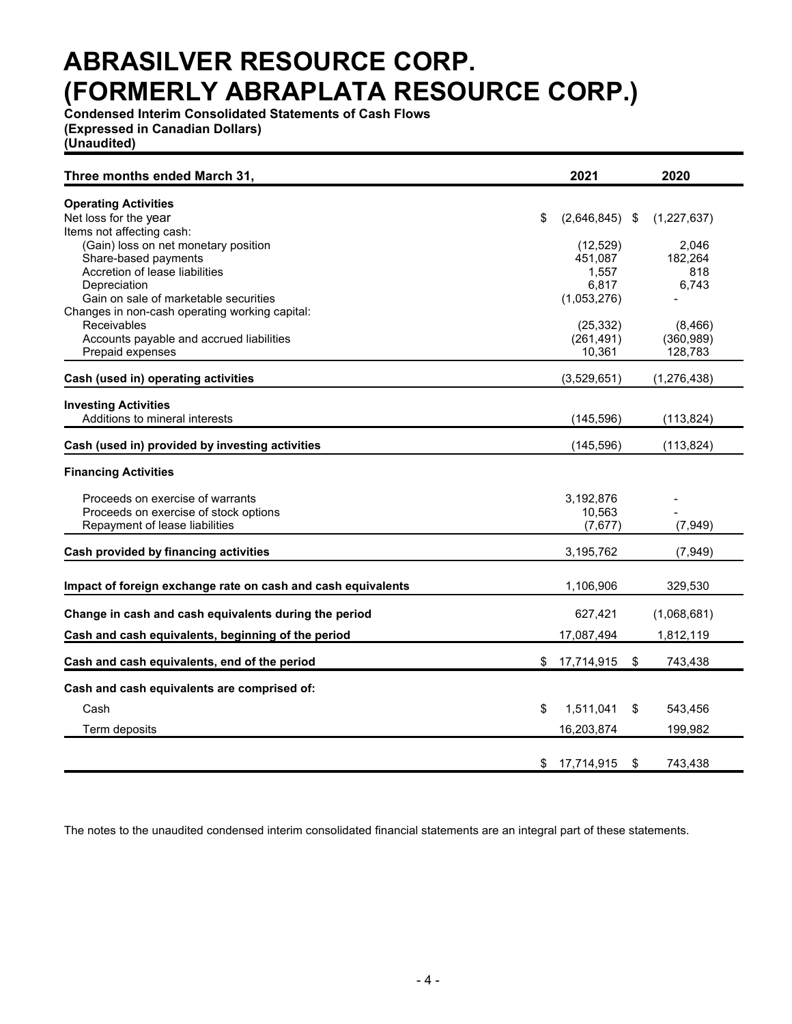**Condensed Interim Consolidated Statements of Cash Flows (Expressed in Canadian Dollars)**

**(Unaudited)**

| Three months ended March 31,                                 | 2021                   | 2020           |
|--------------------------------------------------------------|------------------------|----------------|
| <b>Operating Activities</b>                                  |                        |                |
| Net loss for the year                                        | \$<br>$(2,646,845)$ \$ | (1,227,637)    |
| Items not affecting cash:                                    |                        |                |
| (Gain) loss on net monetary position                         | (12, 529)              | 2,046          |
| Share-based payments<br>Accretion of lease liabilities       | 451,087<br>1,557       | 182,264<br>818 |
| Depreciation                                                 | 6,817                  | 6,743          |
| Gain on sale of marketable securities                        | (1,053,276)            |                |
| Changes in non-cash operating working capital:               |                        |                |
| <b>Receivables</b>                                           | (25, 332)              | (8, 466)       |
| Accounts payable and accrued liabilities                     | (261, 491)             | (360, 989)     |
| Prepaid expenses                                             | 10,361                 | 128,783        |
| Cash (used in) operating activities                          | (3,529,651)            | (1, 276, 438)  |
| <b>Investing Activities</b>                                  |                        |                |
| Additions to mineral interests                               | (145, 596)             | (113, 824)     |
| Cash (used in) provided by investing activities              | (145, 596)             | (113, 824)     |
| <b>Financing Activities</b>                                  |                        |                |
| Proceeds on exercise of warrants                             | 3,192,876              |                |
| Proceeds on exercise of stock options                        | 10,563                 |                |
| Repayment of lease liabilities                               | (7,677)                | (7, 949)       |
| Cash provided by financing activities                        | 3,195,762              | (7, 949)       |
| Impact of foreign exchange rate on cash and cash equivalents | 1,106,906              | 329,530        |
|                                                              |                        |                |
| Change in cash and cash equivalents during the period        | 627,421                | (1,068,681)    |
| Cash and cash equivalents, beginning of the period           | 17,087,494             | 1,812,119      |
| Cash and cash equivalents, end of the period                 | \$17,714,915           | \$<br>743,438  |
| Cash and cash equivalents are comprised of:                  |                        |                |
| Cash                                                         | \$<br>1,511,041        | \$<br>543,456  |
| Term deposits                                                | 16,203,874             | 199,982        |
|                                                              |                        |                |
|                                                              | \$<br>17,714,915       | \$<br>743,438  |

The notes to the unaudited condensed interim consolidated financial statements are an integral part of these statements.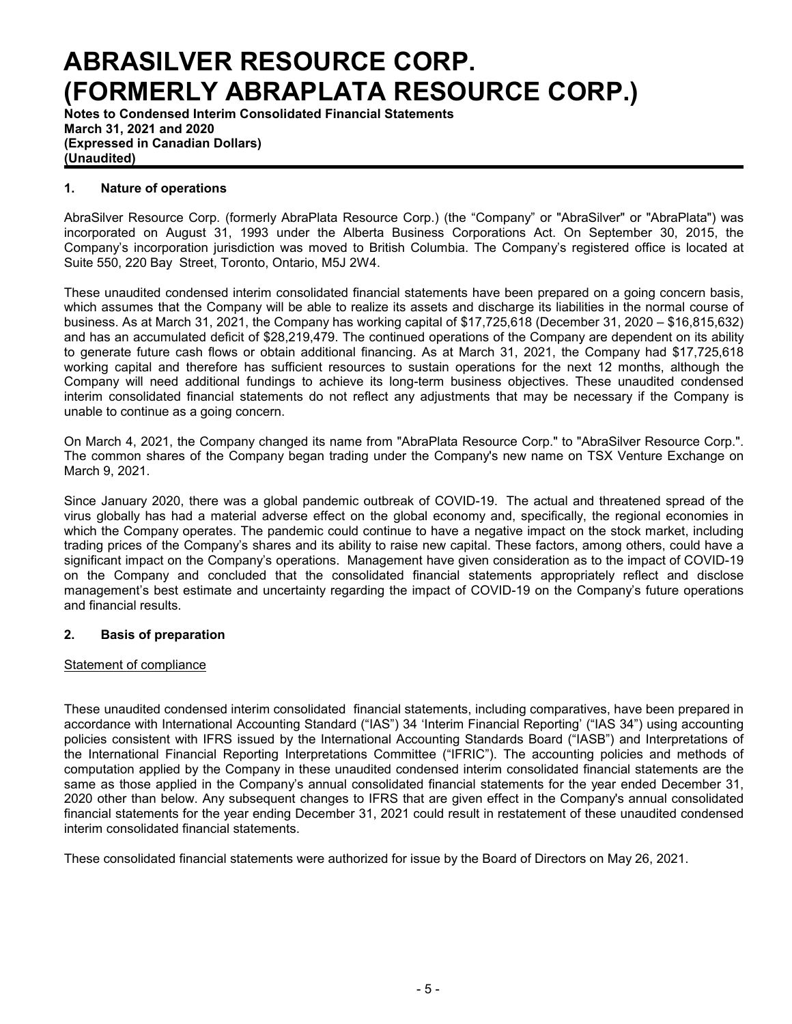**Notes to Condensed Interim Consolidated Financial Statements March 31, 2021 and 2020 (Expressed in Canadian Dollars) (Unaudited)**

### **1. Nature of operations**

AbraSilver Resource Corp. (formerly AbraPlata Resource Corp.) (the "Company" or "AbraSilver" or "AbraPlata") was incorporated on August 31, 1993 under the Alberta Business Corporations Act. On September 30, 2015, the Company's incorporation jurisdiction was moved to British Columbia. The Company's registered office is located at Suite 550, 220 Bay Street, Toronto, Ontario, M5J 2W4.

These unaudited condensed interim consolidated financial statements have been prepared on a going concern basis, which assumes that the Company will be able to realize its assets and discharge its liabilities in the normal course of business. As at March 31, 2021, the Company has working capital of \$17,725,618 (December 31, 2020 – \$16,815,632) and has an accumulated deficit of \$28,219,479. The continued operations of the Company are dependent on its ability to generate future cash flows or obtain additional financing. As at March 31, 2021, the Company had \$17,725,618 working capital and therefore has sufficient resources to sustain operations for the next 12 months, although the Company will need additional fundings to achieve its long-term business objectives. These unaudited condensed interim consolidated financial statements do not reflect any adjustments that may be necessary if the Company is unable to continue as a going concern.

On March 4, 2021, the Company changed its name from "AbraPlata Resource Corp." to "AbraSilver Resource Corp.". The common shares of the Company began trading under the Company's new name on TSX Venture Exchange on March 9, 2021.

Since January 2020, there was a global pandemic outbreak of COVID-19. The actual and threatened spread of the virus globally has had a material adverse effect on the global economy and, specifically, the regional economies in which the Company operates. The pandemic could continue to have a negative impact on the stock market, including trading prices of the Company's shares and its ability to raise new capital. These factors, among others, could have a significant impact on the Company's operations. Management have given consideration as to the impact of COVID-19 on the Company and concluded that the consolidated financial statements appropriately reflect and disclose management's best estimate and uncertainty regarding the impact of COVID-19 on the Company's future operations and financial results.

#### **2. Basis of preparation**

#### Statement of compliance

These unaudited condensed interim consolidated financial statements, including comparatives, have been prepared in accordance with International Accounting Standard ("IAS") 34 'Interim Financial Reporting' ("IAS 34") using accounting policies consistent with IFRS issued by the International Accounting Standards Board ("IASB") and Interpretations of the International Financial Reporting Interpretations Committee ("IFRIC"). The accounting policies and methods of computation applied by the Company in these unaudited condensed interim consolidated financial statements are the same as those applied in the Company's annual consolidated financial statements for the year ended December 31, 2020 other than below. Any subsequent changes to IFRS that are given effect in the Company's annual consolidated financial statements for the year ending December 31, 2021 could result in restatement of these unaudited condensed interim consolidated financial statements.

These consolidated financial statements were authorized for issue by the Board of Directors on May 26, 2021.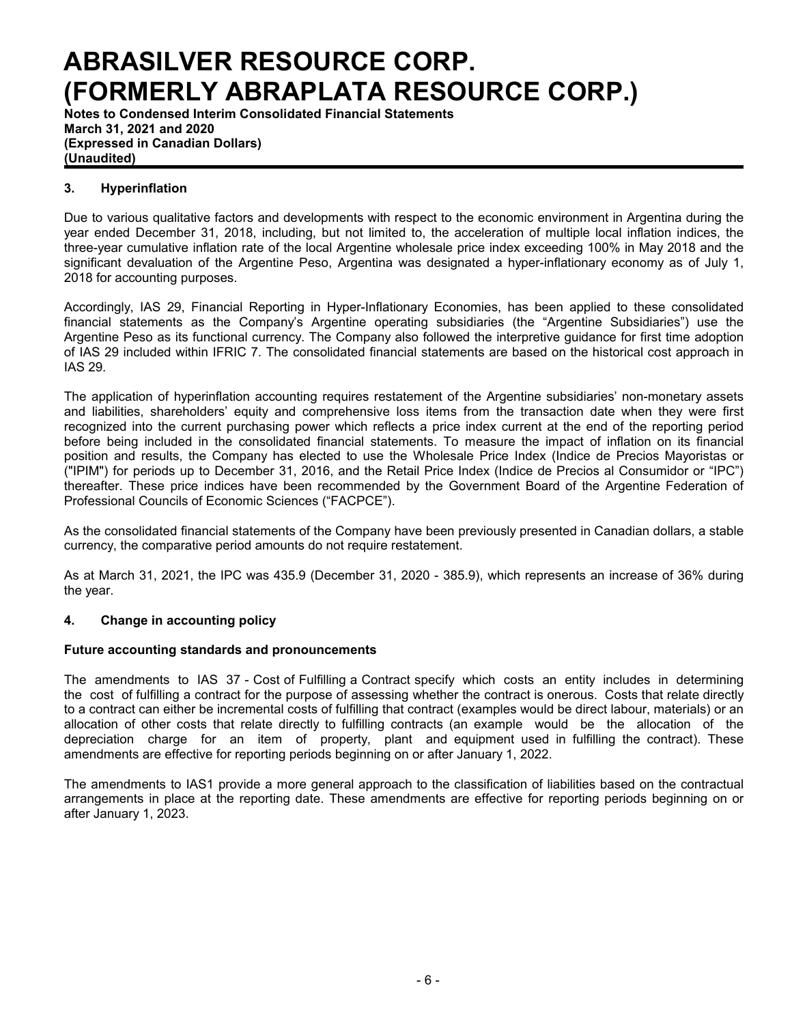**Notes to Condensed Interim Consolidated Financial Statements March 31, 2021 and 2020 (Expressed in Canadian Dollars) (Unaudited)**

## **3. Hyperinflation**

Due to various qualitative factors and developments with respect to the economic environment in Argentina during the year ended December 31, 2018, including, but not limited to, the acceleration of multiple local inflation indices, the three-year cumulative inflation rate of the local Argentine wholesale price index exceeding 100% in May 2018 and the significant devaluation of the Argentine Peso, Argentina was designated a hyper-inflationary economy as of July 1, 2018 for accounting purposes.

Accordingly, IAS 29, Financial Reporting in Hyper-Inflationary Economies, has been applied to these consolidated financial statements as the Company's Argentine operating subsidiaries (the "Argentine Subsidiaries") use the Argentine Peso as its functional currency. The Company also followed the interpretive guidance for first time adoption of IAS 29 included within IFRIC 7. The consolidated financial statements are based on the historical cost approach in IAS 29.

The application of hyperinflation accounting requires restatement of the Argentine subsidiaries' non-monetary assets and liabilities, shareholders' equity and comprehensive loss items from the transaction date when they were first recognized into the current purchasing power which reflects a price index current at the end of the reporting period before being included in the consolidated financial statements. To measure the impact of inflation on its financial position and results, the Company has elected to use the Wholesale Price Index (Indice de Precios Mayoristas or ("IPIM") for periods up to December 31, 2016, and the Retail Price Index (Indice de Precios al Consumidor or "IPC") thereafter. These price indices have been recommended by the Government Board of the Argentine Federation of Professional Councils of Economic Sciences ("FACPCE").

As the consolidated financial statements of the Company have been previously presented in Canadian dollars, a stable currency, the comparative period amounts do not require restatement.

As at March 31, 2021, the IPC was 435.9 (December 31, 2020 - 385.9), which represents an increase of 36% during the year.

## **4. Change in accounting policy**

#### **Future accounting standards and pronouncements**

The amendments to IAS 37 - Cost of Fulfilling a Contract specify which costs an entity includes in determining the cost of fulfilling a contract for the purpose of assessing whether the contract is onerous. Costs that relate directly to a contract can either be incremental costs of fulfilling that contract (examples would be direct labour, materials) or an allocation of other costs that relate directly to fulfilling contracts (an example would be the allocation of the depreciation charge for an item of property, plant and equipment used in fulfilling the contract). These amendments are effective for reporting periods beginning on or after January 1, 2022.

The amendments to IAS1 provide a more general approach to the classification of liabilities based on the contractual arrangements in place at the reporting date. These amendments are effective for reporting periods beginning on or after January 1, 2023.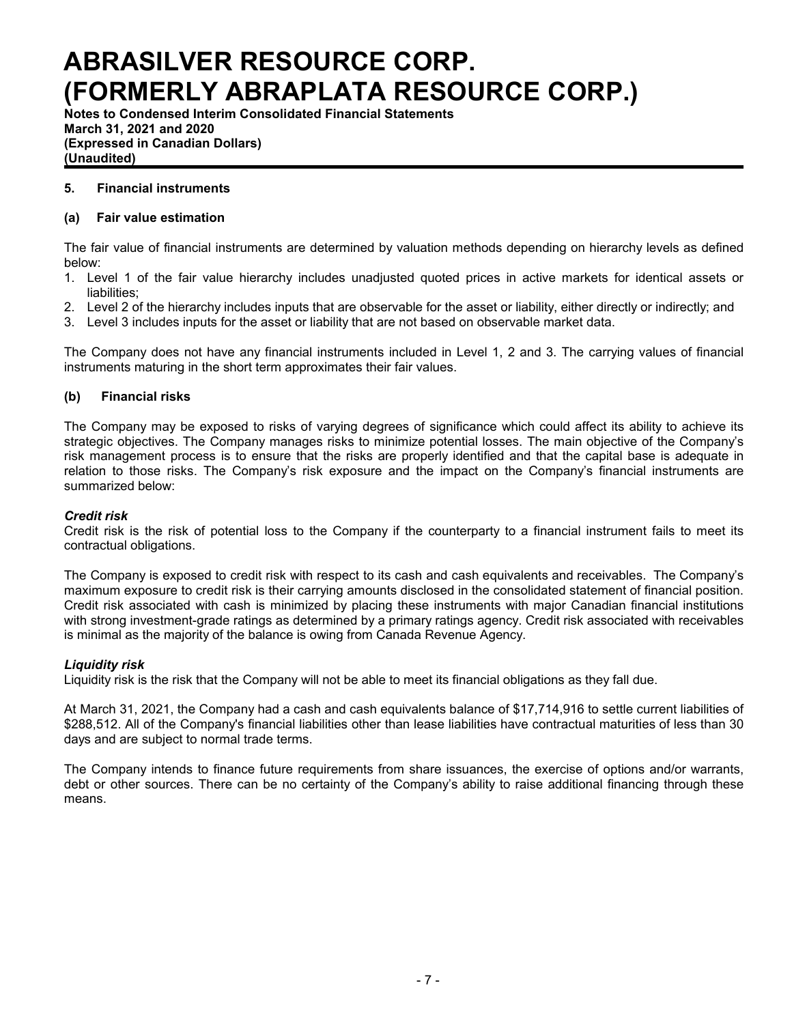**Notes to Condensed Interim Consolidated Financial Statements March 31, 2021 and 2020 (Expressed in Canadian Dollars) (Unaudited)**

### **5. Financial instruments**

### **(a) Fair value estimation**

The fair value of financial instruments are determined by valuation methods depending on hierarchy levels as defined below:

- 1. Level 1 of the fair value hierarchy includes unadjusted quoted prices in active markets for identical assets or liabilities;
- 2. Level 2 of the hierarchy includes inputs that are observable for the asset or liability, either directly or indirectly; and
- 3. Level 3 includes inputs for the asset or liability that are not based on observable market data.

The Company does not have any financial instruments included in Level 1, 2 and 3. The carrying values of financial instruments maturing in the short term approximates their fair values.

### **(b) Financial risks**

The Company may be exposed to risks of varying degrees of significance which could affect its ability to achieve its strategic objectives. The Company manages risks to minimize potential losses. The main objective of the Company's risk management process is to ensure that the risks are properly identified and that the capital base is adequate in relation to those risks. The Company's risk exposure and the impact on the Company's financial instruments are summarized below:

#### *Credit risk*

Credit risk is the risk of potential loss to the Company if the counterparty to a financial instrument fails to meet its contractual obligations.

The Company is exposed to credit risk with respect to its cash and cash equivalents and receivables. The Company's maximum exposure to credit risk is their carrying amounts disclosed in the consolidated statement of financial position. Credit risk associated with cash is minimized by placing these instruments with major Canadian financial institutions with strong investment-grade ratings as determined by a primary ratings agency. Credit risk associated with receivables is minimal as the majority of the balance is owing from Canada Revenue Agency.

#### *Liquidity risk*

Liquidity risk is the risk that the Company will not be able to meet its financial obligations as they fall due.

At March 31, 2021, the Company had a cash and cash equivalents balance of \$17,714,916 to settle current liabilities of \$288,512. All of the Company's financial liabilities other than lease liabilities have contractual maturities of less than 30 days and are subject to normal trade terms.

The Company intends to finance future requirements from share issuances, the exercise of options and/or warrants, debt or other sources. There can be no certainty of the Company's ability to raise additional financing through these means.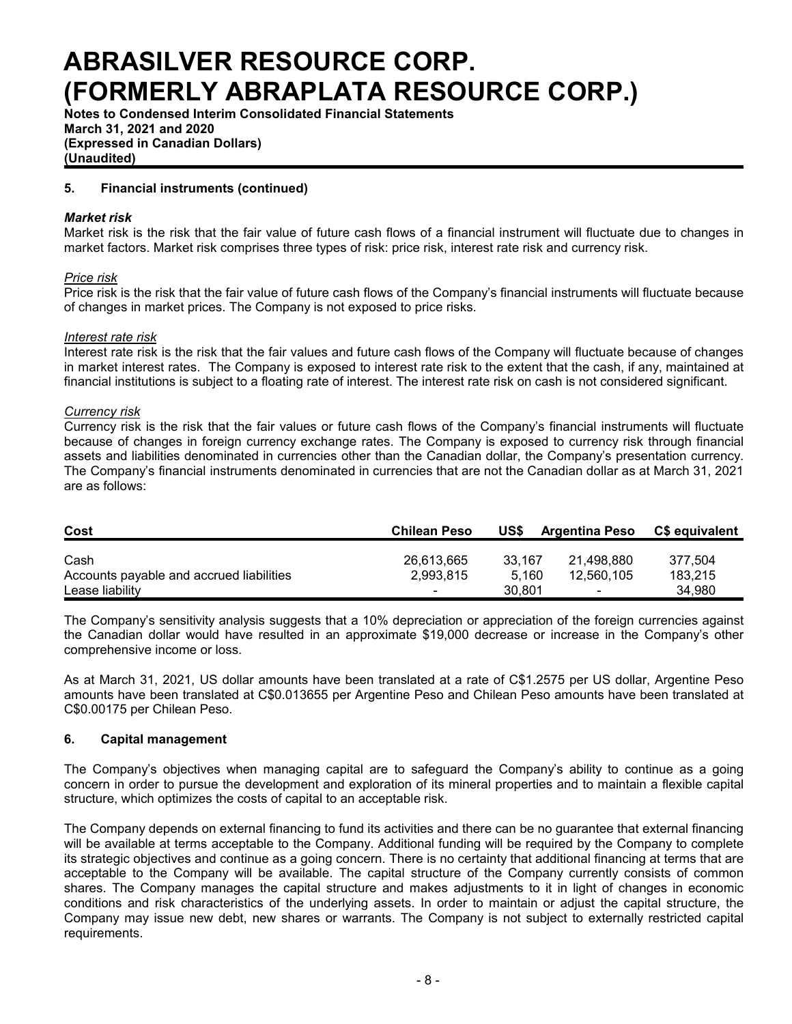**Notes to Condensed Interim Consolidated Financial Statements March 31, 2021 and 2020 (Expressed in Canadian Dollars) (Unaudited)**

### **5. Financial instruments (continued)**

#### *Market risk*

Market risk is the risk that the fair value of future cash flows of a financial instrument will fluctuate due to changes in market factors. Market risk comprises three types of risk: price risk, interest rate risk and currency risk.

#### *Price risk*

Price risk is the risk that the fair value of future cash flows of the Company's financial instruments will fluctuate because of changes in market prices. The Company is not exposed to price risks.

#### *Interest rate risk*

Interest rate risk is the risk that the fair values and future cash flows of the Company will fluctuate because of changes in market interest rates. The Company is exposed to interest rate risk to the extent that the cash, if any, maintained at financial institutions is subject to a floating rate of interest. The interest rate risk on cash is not considered significant.

#### *Currency risk*

Currency risk is the risk that the fair values or future cash flows of the Company's financial instruments will fluctuate because of changes in foreign currency exchange rates. The Company is exposed to currency risk through financial assets and liabilities denominated in currencies other than the Canadian dollar, the Company's presentation currency. The Company's financial instruments denominated in currencies that are not the Canadian dollar as at March 31, 2021 are as follows:

| Cost                                     | <b>Chilean Peso</b>      | US\$   | <b>Argentina Peso</b>    | C\$ equivalent |
|------------------------------------------|--------------------------|--------|--------------------------|----------------|
| Cash                                     | 26.613.665               | 33.167 | 21.498.880               | 377.504        |
| Accounts payable and accrued liabilities | 2.993.815                | 5.160  | 12,560,105               | 183.215        |
| Lease liability                          | $\overline{\phantom{0}}$ | 30.801 | $\overline{\phantom{0}}$ | 34.980         |

The Company's sensitivity analysis suggests that a 10% depreciation or appreciation of the foreign currencies against the Canadian dollar would have resulted in an approximate \$19,000 decrease or increase in the Company's other comprehensive income or loss.

As at March 31, 2021, US dollar amounts have been translated at a rate of C\$1.2575 per US dollar, Argentine Peso amounts have been translated at C\$0.013655 per Argentine Peso and Chilean Peso amounts have been translated at C\$0.00175 per Chilean Peso.

#### **6. Capital management**

The Company's objectives when managing capital are to safeguard the Company's ability to continue as a going concern in order to pursue the development and exploration of its mineral properties and to maintain a flexible capital structure, which optimizes the costs of capital to an acceptable risk.

The Company depends on external financing to fund its activities and there can be no guarantee that external financing will be available at terms acceptable to the Company. Additional funding will be required by the Company to complete its strategic objectives and continue as a going concern. There is no certainty that additional financing at terms that are acceptable to the Company will be available. The capital structure of the Company currently consists of common shares. The Company manages the capital structure and makes adjustments to it in light of changes in economic conditions and risk characteristics of the underlying assets. In order to maintain or adjust the capital structure, the Company may issue new debt, new shares or warrants. The Company is not subject to externally restricted capital requirements.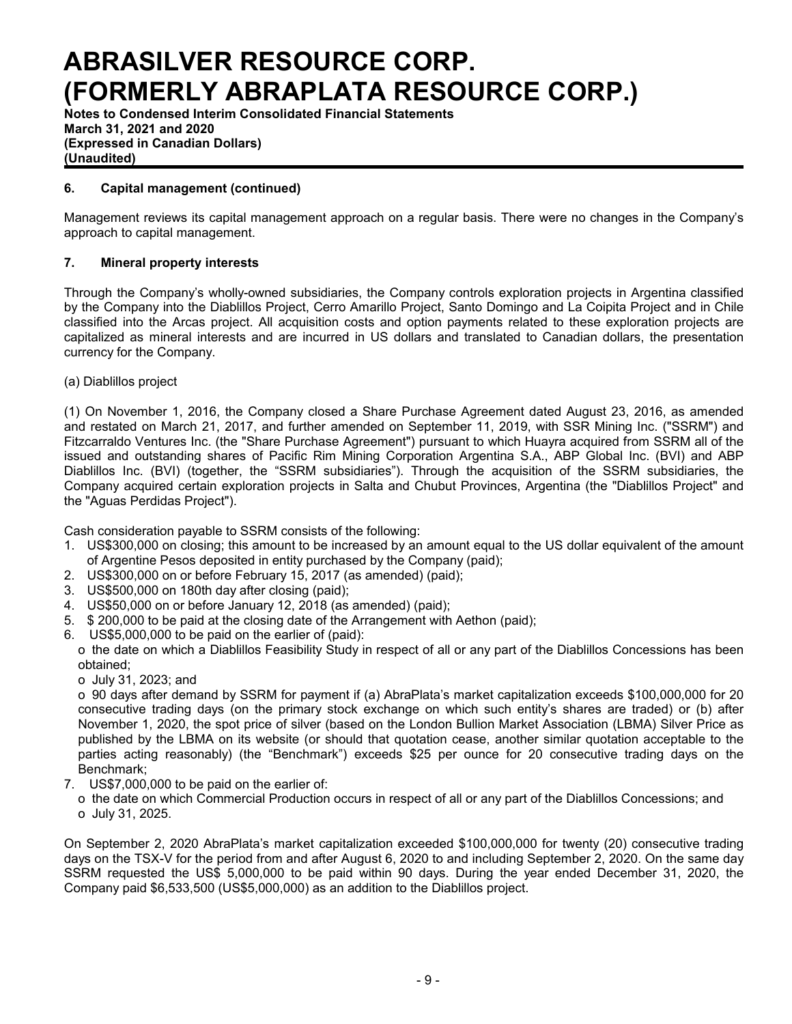**Notes to Condensed Interim Consolidated Financial Statements March 31, 2021 and 2020 (Expressed in Canadian Dollars) (Unaudited)**

## **6. Capital management (continued)**

Management reviews its capital management approach on a regular basis. There were no changes in the Company's approach to capital management.

## **7. Mineral property interests**

Through the Company's wholly-owned subsidiaries, the Company controls exploration projects in Argentina classified by the Company into the Diablillos Project, Cerro Amarillo Project, Santo Domingo and La Coipita Project and in Chile classified into the Arcas project. All acquisition costs and option payments related to these exploration projects are capitalized as mineral interests and are incurred in US dollars and translated to Canadian dollars, the presentation currency for the Company.

(a) Diablillos project

(1) On November 1, 2016, the Company closed a Share Purchase Agreement dated August 23, 2016, as amended and restated on March 21, 2017, and further amended on September 11, 2019, with SSR Mining Inc. ("SSRM") and Fitzcarraldo Ventures Inc. (the "Share Purchase Agreement") pursuant to which Huayra acquired from SSRM all of the issued and outstanding shares of Pacific Rim Mining Corporation Argentina S.A., ABP Global Inc. (BVI) and ABP Diablillos Inc. (BVI) (together, the "SSRM subsidiaries"). Through the acquisition of the SSRM subsidiaries, the Company acquired certain exploration projects in Salta and Chubut Provinces, Argentina (the "Diablillos Project" and the "Aguas Perdidas Project").

Cash consideration payable to SSRM consists of the following:

- 1. US\$300,000 on closing; this amount to be increased by an amount equal to the US dollar equivalent of the amount of Argentine Pesos deposited in entity purchased by the Company (paid);
- 2. US\$300,000 on or before February 15, 2017 (as amended) (paid);
- 3. US\$500,000 on 180th day after closing (paid);
- 4. US\$50,000 on or before January 12, 2018 (as amended) (paid);
- 5. \$ 200,000 to be paid at the closing date of the Arrangement with Aethon (paid);
- 6. US\$5,000,000 to be paid on the earlier of (paid):
- o the date on which a Diablillos Feasibility Study in respect of all or any part of the Diablillos Concessions has been obtained;
	- o July 31, 2023; and

o 90 days after demand by SSRM for payment if (a) AbraPlata's market capitalization exceeds \$100,000,000 for 20 consecutive trading days (on the primary stock exchange on which such entity's shares are traded) or (b) after November 1, 2020, the spot price of silver (based on the London Bullion Market Association (LBMA) Silver Price as published by the LBMA on its website (or should that quotation cease, another similar quotation acceptable to the parties acting reasonably) (the "Benchmark") exceeds \$25 per ounce for 20 consecutive trading days on the Benchmark;

- 7. US\$7,000,000 to be paid on the earlier of:
	- o the date on which Commercial Production occurs in respect of all or any part of the Diablillos Concessions; and o July 31, 2025.

On September 2, 2020 AbraPlata's market capitalization exceeded \$100,000,000 for twenty (20) consecutive trading days on the TSX-V for the period from and after August 6, 2020 to and including September 2, 2020. On the same day SSRM requested the US\$ 5,000,000 to be paid within 90 days. During the year ended December 31, 2020, the Company paid \$6,533,500 (US\$5,000,000) as an addition to the Diablillos project.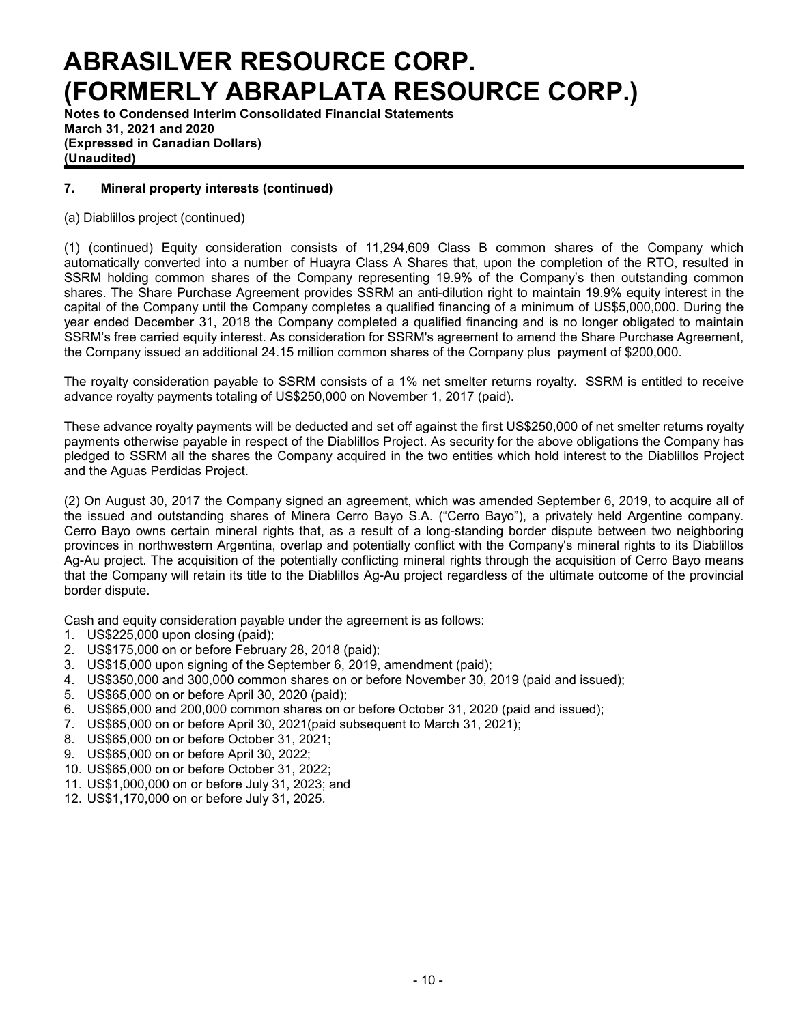**Notes to Condensed Interim Consolidated Financial Statements March 31, 2021 and 2020 (Expressed in Canadian Dollars) (Unaudited)**

## **7. Mineral property interests (continued)**

(a) Diablillos project (continued)

(1) (continued) Equity consideration consists of 11,294,609 Class B common shares of the Company which automatically converted into a number of Huayra Class A Shares that, upon the completion of the RTO, resulted in SSRM holding common shares of the Company representing 19.9% of the Company's then outstanding common shares. The Share Purchase Agreement provides SSRM an anti-dilution right to maintain 19.9% equity interest in the capital of the Company until the Company completes a qualified financing of a minimum of US\$5,000,000. During the year ended December 31, 2018 the Company completed a qualified financing and is no longer obligated to maintain SSRM's free carried equity interest. As consideration for SSRM's agreement to amend the Share Purchase Agreement, the Company issued an additional 24.15 million common shares of the Company plus payment of \$200,000.

The royalty consideration payable to SSRM consists of a 1% net smelter returns royalty. SSRM is entitled to receive advance royalty payments totaling of US\$250,000 on November 1, 2017 (paid).

These advance royalty payments will be deducted and set off against the first US\$250,000 of net smelter returns royalty payments otherwise payable in respect of the Diablillos Project. As security for the above obligations the Company has pledged to SSRM all the shares the Company acquired in the two entities which hold interest to the Diablillos Project and the Aguas Perdidas Project.

(2) On August 30, 2017 the Company signed an agreement, which was amended September 6, 2019, to acquire all of the issued and outstanding shares of Minera Cerro Bayo S.A. ("Cerro Bayo"), a privately held Argentine company. Cerro Bayo owns certain mineral rights that, as a result of a long-standing border dispute between two neighboring provinces in northwestern Argentina, overlap and potentially conflict with the Company's mineral rights to its Diablillos Ag-Au project. The acquisition of the potentially conflicting mineral rights through the acquisition of Cerro Bayo means that the Company will retain its title to the Diablillos Ag-Au project regardless of the ultimate outcome of the provincial border dispute.

Cash and equity consideration payable under the agreement is as follows:

- 1. US\$225,000 upon closing (paid);
- 2. US\$175,000 on or before February 28, 2018 (paid);
- 3. US\$15,000 upon signing of the September 6, 2019, amendment (paid);
- 4. US\$350,000 and 300,000 common shares on or before November 30, 2019 (paid and issued);
- 5. US\$65,000 on or before April 30, 2020 (paid);
- 6. US\$65,000 and 200,000 common shares on or before October 31, 2020 (paid and issued);
- 7. US\$65,000 on or before April 30, 2021(paid subsequent to March 31, 2021);
- 8. US\$65,000 on or before October 31, 2021;
- 9. US\$65,000 on or before April 30, 2022;
- 10. US\$65,000 on or before October 31, 2022;
- 11. US\$1,000,000 on or before July 31, 2023; and
- 12. US\$1,170,000 on or before July 31, 2025.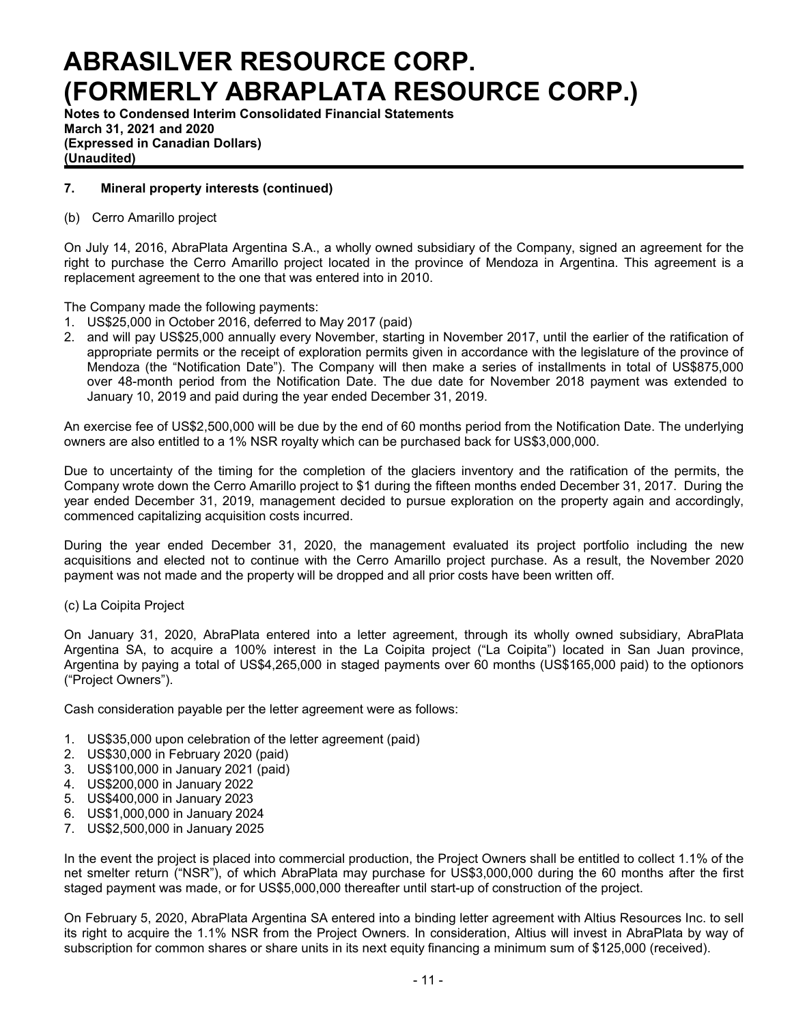**Notes to Condensed Interim Consolidated Financial Statements March 31, 2021 and 2020 (Expressed in Canadian Dollars) (Unaudited)**

## **7. Mineral property interests (continued)**

### (b) Cerro Amarillo project

On July 14, 2016, AbraPlata Argentina S.A., a wholly owned subsidiary of the Company, signed an agreement for the right to purchase the Cerro Amarillo project located in the province of Mendoza in Argentina. This agreement is a replacement agreement to the one that was entered into in 2010.

The Company made the following payments:

- 1. US\$25,000 in October 2016, deferred to May 2017 (paid)
- 2. and will pay US\$25,000 annually every November, starting in November 2017, until the earlier of the ratification of appropriate permits or the receipt of exploration permits given in accordance with the legislature of the province of Mendoza (the "Notification Date"). The Company will then make a series of installments in total of US\$875,000 over 48-month period from the Notification Date. The due date for November 2018 payment was extended to January 10, 2019 and paid during the year ended December 31, 2019.

An exercise fee of US\$2,500,000 will be due by the end of 60 months period from the Notification Date. The underlying owners are also entitled to a 1% NSR royalty which can be purchased back for US\$3,000,000.

Due to uncertainty of the timing for the completion of the glaciers inventory and the ratification of the permits, the Company wrote down the Cerro Amarillo project to \$1 during the fifteen months ended December 31, 2017. During the year ended December 31, 2019, management decided to pursue exploration on the property again and accordingly, commenced capitalizing acquisition costs incurred.

During the year ended December 31, 2020, the management evaluated its project portfolio including the new acquisitions and elected not to continue with the Cerro Amarillo project purchase. As a result, the November 2020 payment was not made and the property will be dropped and all prior costs have been written off.

#### (c) La Coipita Project

On January 31, 2020, AbraPlata entered into a letter agreement, through its wholly owned subsidiary, AbraPlata Argentina SA, to acquire a 100% interest in the La Coipita project ("La Coipita") located in San Juan province, Argentina by paying a total of US\$4,265,000 in staged payments over 60 months (US\$165,000 paid) to the optionors ("Project Owners").

Cash consideration payable per the letter agreement were as follows:

- 1. US\$35,000 upon celebration of the letter agreement (paid)
- 2. US\$30,000 in February 2020 (paid)
- 3. US\$100,000 in January 2021 (paid)
- 4. US\$200,000 in January 2022
- 5. US\$400,000 in January 2023
- 6. US\$1,000,000 in January 2024
- 7. US\$2,500,000 in January 2025

In the event the project is placed into commercial production, the Project Owners shall be entitled to collect 1.1% of the net smelter return ("NSR"), of which AbraPlata may purchase for US\$3,000,000 during the 60 months after the first staged payment was made, or for US\$5,000,000 thereafter until start-up of construction of the project.

On February 5, 2020, AbraPlata Argentina SA entered into a binding letter agreement with Altius Resources Inc. to sell its right to acquire the 1.1% NSR from the Project Owners. In consideration, Altius will invest in AbraPlata by way of subscription for common shares or share units in its next equity financing a minimum sum of \$125,000 (received).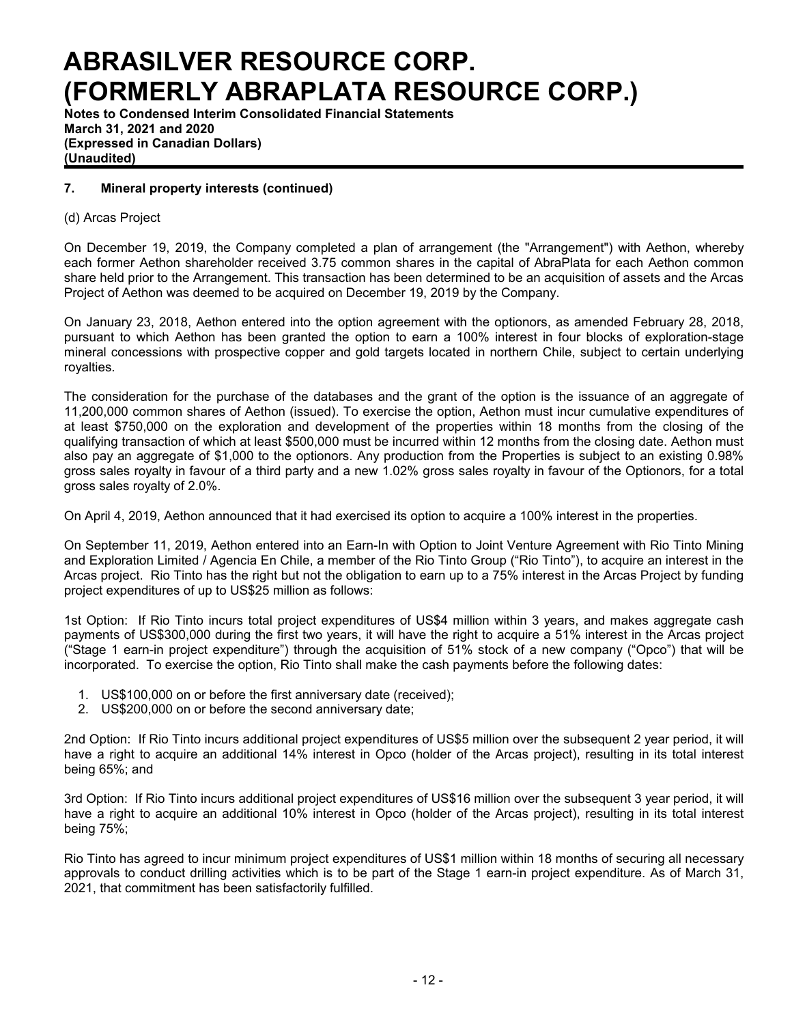**Notes to Condensed Interim Consolidated Financial Statements March 31, 2021 and 2020 (Expressed in Canadian Dollars) (Unaudited)**

### **7. Mineral property interests (continued)**

### (d) Arcas Project

On December 19, 2019, the Company completed a plan of arrangement (the "Arrangement") with Aethon, whereby each former Aethon shareholder received 3.75 common shares in the capital of AbraPlata for each Aethon common share held prior to the Arrangement. This transaction has been determined to be an acquisition of assets and the Arcas Project of Aethon was deemed to be acquired on December 19, 2019 by the Company.

On January 23, 2018, Aethon entered into the option agreement with the optionors, as amended February 28, 2018, pursuant to which Aethon has been granted the option to earn a 100% interest in four blocks of exploration-stage mineral concessions with prospective copper and gold targets located in northern Chile, subject to certain underlying royalties.

The consideration for the purchase of the databases and the grant of the option is the issuance of an aggregate of 11,200,000 common shares of Aethon (issued). To exercise the option, Aethon must incur cumulative expenditures of at least \$750,000 on the exploration and development of the properties within 18 months from the closing of the qualifying transaction of which at least \$500,000 must be incurred within 12 months from the closing date. Aethon must also pay an aggregate of \$1,000 to the optionors. Any production from the Properties is subject to an existing 0.98% gross sales royalty in favour of a third party and a new 1.02% gross sales royalty in favour of the Optionors, for a total gross sales royalty of 2.0%.

On April 4, 2019, Aethon announced that it had exercised its option to acquire a 100% interest in the properties.

On September 11, 2019, Aethon entered into an Earn-In with Option to Joint Venture Agreement with Rio Tinto Mining and Exploration Limited / Agencia En Chile, a member of the Rio Tinto Group ("Rio Tinto"), to acquire an interest in the Arcas project. Rio Tinto has the right but not the obligation to earn up to a 75% interest in the Arcas Project by funding project expenditures of up to US\$25 million as follows:

1st Option: If Rio Tinto incurs total project expenditures of US\$4 million within 3 years, and makes aggregate cash payments of US\$300,000 during the first two years, it will have the right to acquire a 51% interest in the Arcas project ("Stage 1 earn-in project expenditure") through the acquisition of 51% stock of a new company ("Opco") that will be incorporated. To exercise the option, Rio Tinto shall make the cash payments before the following dates:

- 1. US\$100,000 on or before the first anniversary date (received);
- 2. US\$200,000 on or before the second anniversary date;

2nd Option: If Rio Tinto incurs additional project expenditures of US\$5 million over the subsequent 2 year period, it will have a right to acquire an additional 14% interest in Opco (holder of the Arcas project), resulting in its total interest being 65%; and

3rd Option: If Rio Tinto incurs additional project expenditures of US\$16 million over the subsequent 3 year period, it will have a right to acquire an additional 10% interest in Opco (holder of the Arcas project), resulting in its total interest being 75%;

Rio Tinto has agreed to incur minimum project expenditures of US\$1 million within 18 months of securing all necessary approvals to conduct drilling activities which is to be part of the Stage 1 earn-in project expenditure. As of March 31, 2021, that commitment has been satisfactorily fulfilled.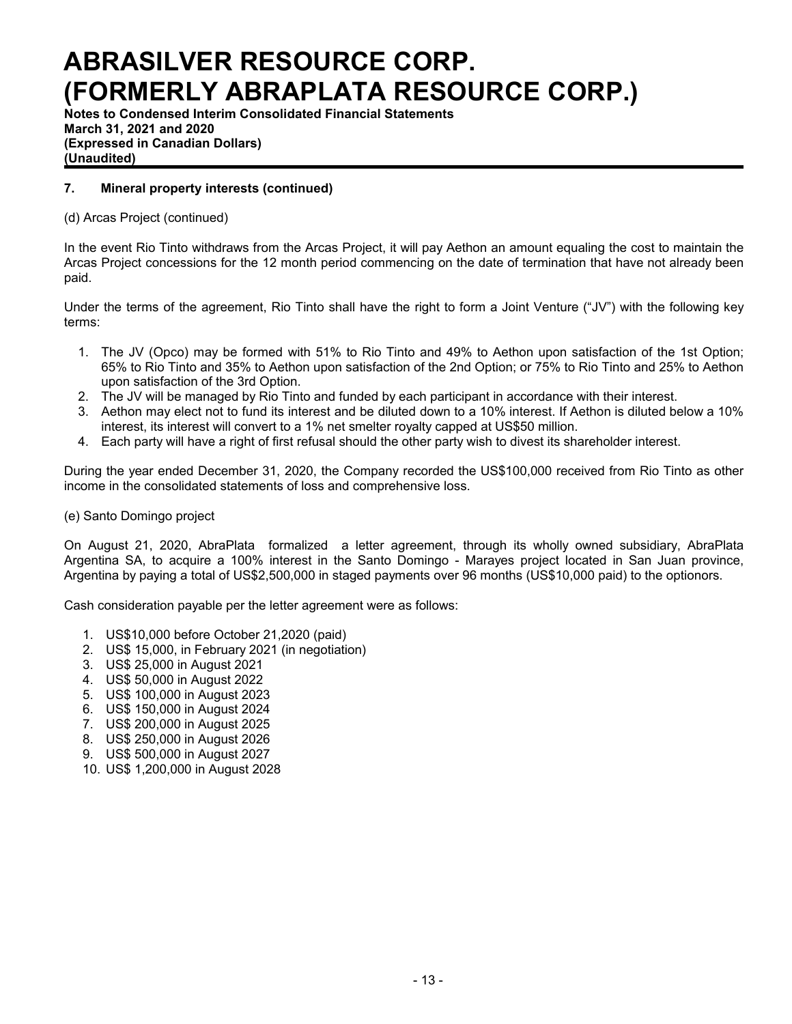**Notes to Condensed Interim Consolidated Financial Statements March 31, 2021 and 2020 (Expressed in Canadian Dollars) (Unaudited)**

## **7. Mineral property interests (continued)**

## (d) Arcas Project (continued)

In the event Rio Tinto withdraws from the Arcas Project, it will pay Aethon an amount equaling the cost to maintain the Arcas Project concessions for the 12 month period commencing on the date of termination that have not already been paid.

Under the terms of the agreement, Rio Tinto shall have the right to form a Joint Venture ("JV") with the following key terms:

- 1. The JV (Opco) may be formed with 51% to Rio Tinto and 49% to Aethon upon satisfaction of the 1st Option; 65% to Rio Tinto and 35% to Aethon upon satisfaction of the 2nd Option; or 75% to Rio Tinto and 25% to Aethon upon satisfaction of the 3rd Option.
- 2. The JV will be managed by Rio Tinto and funded by each participant in accordance with their interest.
- 3. Aethon may elect not to fund its interest and be diluted down to a 10% interest. If Aethon is diluted below a 10% interest, its interest will convert to a 1% net smelter royalty capped at US\$50 million.
- 4. Each party will have a right of first refusal should the other party wish to divest its shareholder interest.

During the year ended December 31, 2020, the Company recorded the US\$100,000 received from Rio Tinto as other income in the consolidated statements of loss and comprehensive loss.

#### (e) Santo Domingo project

On August 21, 2020, AbraPlata formalized a letter agreement, through its wholly owned subsidiary, AbraPlata Argentina SA, to acquire a 100% interest in the Santo Domingo - Marayes project located in San Juan province, Argentina by paying a total of US\$2,500,000 in staged payments over 96 months (US\$10,000 paid) to the optionors.

Cash consideration payable per the letter agreement were as follows:

- 1. US\$10,000 before October 21,2020 (paid)
- 2. US\$ 15,000, in February 2021 (in negotiation)
- 3. US\$ 25,000 in August 2021
- 4. US\$ 50,000 in August 2022
- 5. US\$ 100,000 in August 2023
- 6. US\$ 150,000 in August 2024
- 7. US\$ 200,000 in August 2025
- 8. US\$ 250,000 in August 2026
- 9. US\$ 500,000 in August 2027
- 10. US\$ 1,200,000 in August 2028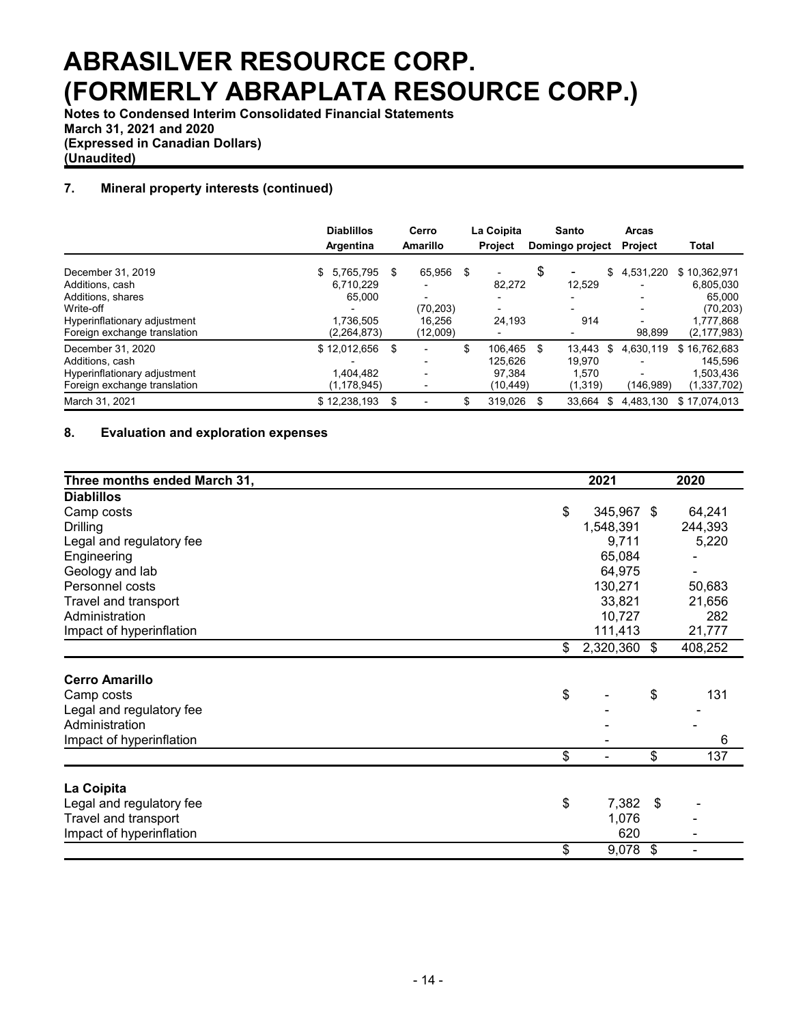**Notes to Condensed Interim Consolidated Financial Statements March 31, 2021 and 2020 (Expressed in Canadian Dollars) (Unaudited)**

## **7. Mineral property interests (continued)**

|                              | <b>Diablillos</b><br>Argentina | Cerro<br>Amarillo | La Coipita<br><b>Project</b> |     | Santo<br>Domingo project |    | <b>Arcas</b><br><b>Project</b> | <b>Total</b>  |
|------------------------------|--------------------------------|-------------------|------------------------------|-----|--------------------------|----|--------------------------------|---------------|
| December 31, 2019            | 5.765.795<br>\$                | \$<br>65.956      | \$                           | \$  | -                        | \$ | 4,531,220                      | \$10,362,971  |
| Additions, cash              | 6.710.229                      |                   | 82,272                       |     | 12,529                   |    |                                | 6,805,030     |
| Additions, shares            | 65.000                         |                   |                              |     |                          |    |                                | 65.000        |
| Write-off                    |                                | (70, 203)         |                              |     |                          |    | $\overline{\phantom{a}}$       | (70, 203)     |
| Hyperinflationary adjustment | 1.736.505                      | 16.256            | 24,193                       |     | 914                      |    |                                | 1,777,868     |
| Foreign exchange translation | (2, 264, 873)                  | (12,009)          |                              |     |                          |    | 98,899                         | (2, 177, 983) |
| December 31, 2020            | \$12,012,656                   | \$                | \$<br>106.465                | \$. | 13.443                   | \$ | 4.630.119                      | \$16,762,683  |
| Additions, cash              |                                |                   | 125.626                      |     | 19.970                   |    |                                | 145.596       |
| Hyperinflationary adjustment | 1.404.482                      |                   | 97.384                       |     | 1.570                    |    |                                | 1.503.436     |
| Foreign exchange translation | (1, 178, 945)                  |                   | (10, 449)                    |     | (1,319)                  |    | (146,989)                      | (1,337,702)   |
| March 31, 2021               | \$12,238,193                   | \$                | \$<br>319.026                | S   | 33.664                   | S  | 4.483.130                      | \$17.074.013  |

### **8. Evaluation and exploration expenses**

| Three months ended March 31, | 2021               | 2020      |
|------------------------------|--------------------|-----------|
| <b>Diablillos</b>            |                    |           |
| Camp costs                   | \$<br>345,967 \$   | 64,241    |
| <b>Drilling</b>              | 1,548,391          | 244,393   |
| Legal and regulatory fee     | 9,711              | 5,220     |
| Engineering                  | 65,084             |           |
| Geology and lab              | 64,975             |           |
| Personnel costs              | 130,271            | 50,683    |
| Travel and transport         | 33,821             | 21,656    |
| Administration               | 10,727             | 282       |
| Impact of hyperinflation     | 111,413            | 21,777    |
|                              | \$<br>2,320,360 \$ | 408,252   |
|                              |                    |           |
| <b>Cerro Amarillo</b>        |                    |           |
| Camp costs                   | \$                 | \$<br>131 |
| Legal and regulatory fee     |                    |           |
| Administration               |                    |           |
| Impact of hyperinflation     |                    | 6         |
|                              | \$                 | \$<br>137 |
| La Coipita                   |                    |           |
| Legal and regulatory fee     | \$<br>7,382        | \$        |
| Travel and transport         | 1,076              |           |
| Impact of hyperinflation     | 620                |           |
|                              |                    |           |
|                              | \$<br>9,078        | \$        |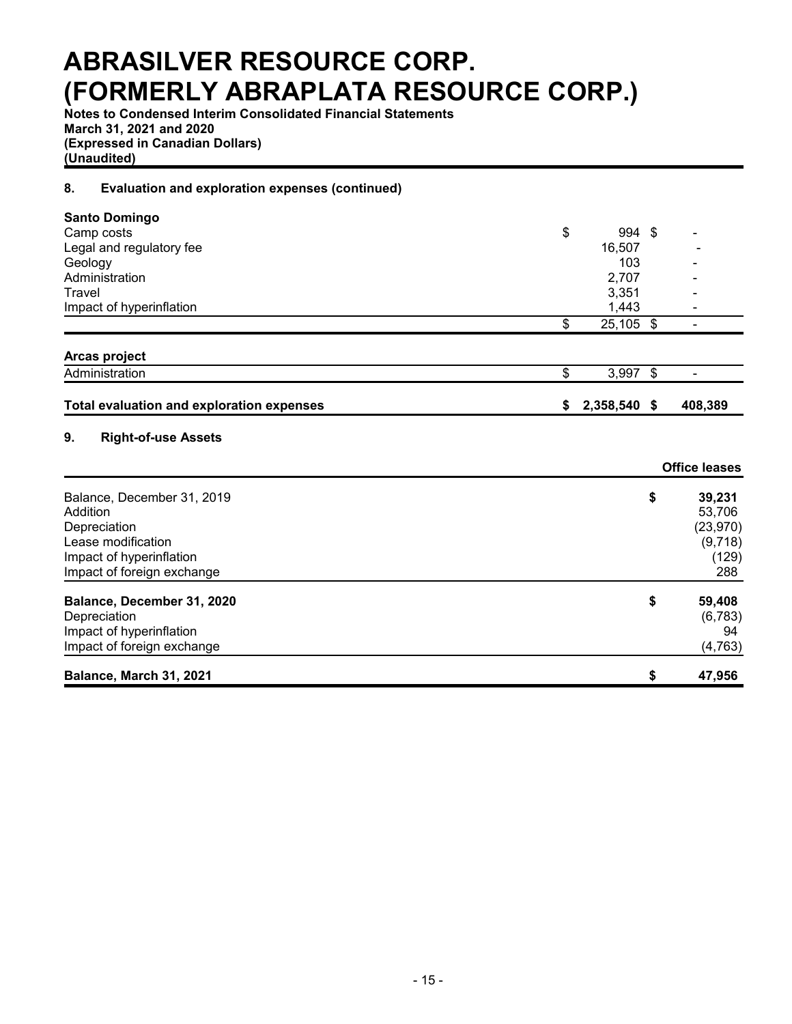**Notes to Condensed Interim Consolidated Financial Statements March 31, 2021 and 2020 (Expressed in Canadian Dollars) (Unaudited)**

## **8. Evaluation and exploration expenses (continued)**

| <b>Santo Domingo</b>                             |                 |     |                      |
|--------------------------------------------------|-----------------|-----|----------------------|
| Camp costs                                       | \$<br>994       | -\$ |                      |
| Legal and regulatory fee                         | 16,507          |     |                      |
| Geology                                          | 103             |     |                      |
| Administration                                   | 2,707           |     |                      |
| Travel                                           | 3,351           |     |                      |
| Impact of hyperinflation                         | 1,443           |     |                      |
|                                                  | \$<br>25,105 \$ |     |                      |
| Arcas project                                    |                 |     |                      |
| Administration                                   | \$<br>3,997     | \$  |                      |
| <b>Total evaluation and exploration expenses</b> | \$<br>2,358,540 | \$  | 408,389              |
| 9.<br><b>Right-of-use Assets</b>                 |                 |     |                      |
|                                                  |                 |     | <b>Office leases</b> |
| Balance, December 31, 2019                       |                 | \$  | 39,231               |
| Addition                                         |                 |     | 53,706               |
| Depreciation                                     |                 |     | (23, 970)            |
| Lease modification                               |                 |     | (9,718)              |
| Impact of hyperinflation                         |                 |     | (129)                |
| Impact of foreign exchange                       |                 |     | 288                  |
| Balance, December 31, 2020                       |                 | \$  | 59,408               |
| Depreciation                                     |                 |     | (6, 783)             |
| Impact of hyperinflation                         |                 |     | 94                   |
| Impact of foreign exchange                       |                 |     | (4, 763)             |
| Balance, March 31, 2021                          |                 | \$  | 47,956               |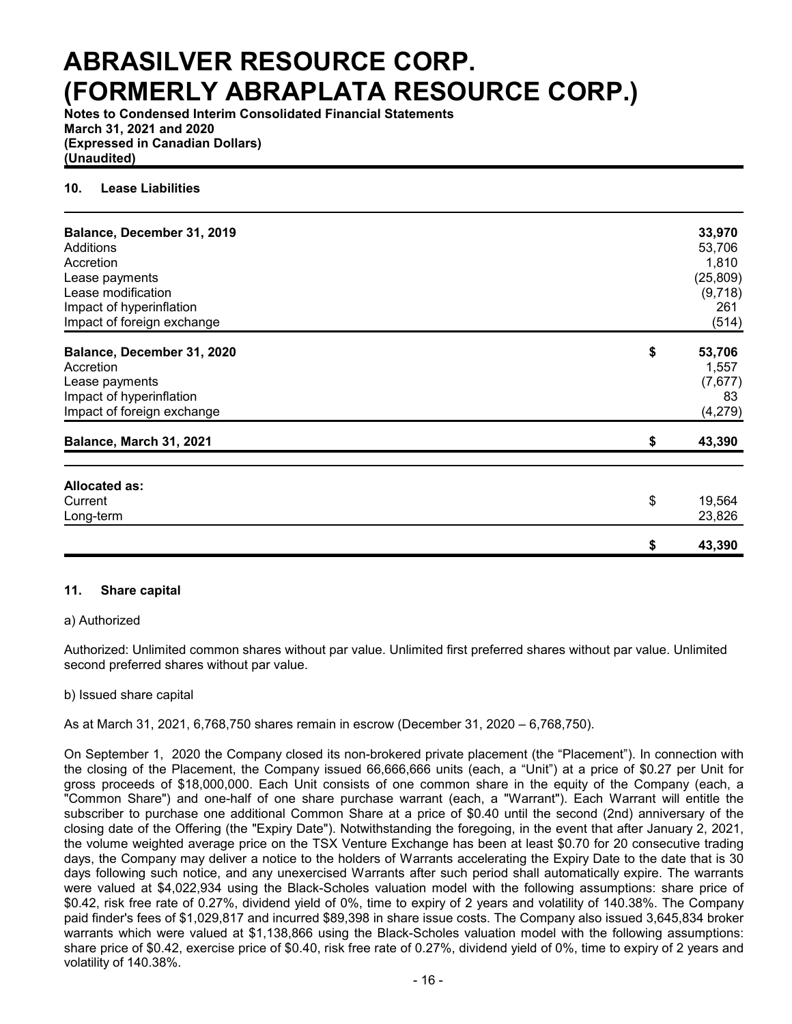**Notes to Condensed Interim Consolidated Financial Statements March 31, 2021 and 2020 (Expressed in Canadian Dollars) (Unaudited)**

### **10. Lease Liabilities**

| Balance, December 31, 2019 | 33,970       |
|----------------------------|--------------|
| Additions                  | 53,706       |
| Accretion                  | 1,810        |
| Lease payments             | (25, 809)    |
| Lease modification         | (9,718)      |
| Impact of hyperinflation   | 261          |
| Impact of foreign exchange | (514)        |
| Balance, December 31, 2020 | \$<br>53,706 |
| Accretion                  | 1,557        |
| Lease payments             | (7,677)      |
| Impact of hyperinflation   | 83           |
| Impact of foreign exchange | (4,279)      |
| Balance, March 31, 2021    | \$<br>43,390 |
|                            |              |
| <b>Allocated as:</b>       |              |
| Current                    | \$<br>19,564 |
| Long-term                  | 23,826       |
|                            | \$<br>43,390 |

#### **11. Share capital**

#### a) Authorized

Authorized: Unlimited common shares without par value. Unlimited first preferred shares without par value. Unlimited second preferred shares without par value.

#### b) Issued share capital

As at March 31, 2021, 6,768,750 shares remain in escrow (December 31, 2020 – 6,768,750).

On September 1, 2020 the Company closed its non-brokered private placement (the "Placement"). In connection with the closing of the Placement, the Company issued 66,666,666 units (each, a "Unit") at a price of \$0.27 per Unit for gross proceeds of \$18,000,000. Each Unit consists of one common share in the equity of the Company (each, a "Common Share") and one-half of one share purchase warrant (each, a "Warrant"). Each Warrant will entitle the subscriber to purchase one additional Common Share at a price of \$0.40 until the second (2nd) anniversary of the closing date of the Offering (the "Expiry Date"). Notwithstanding the foregoing, in the event that after January 2, 2021, the volume weighted average price on the TSX Venture Exchange has been at least \$0.70 for 20 consecutive trading days, the Company may deliver a notice to the holders of Warrants accelerating the Expiry Date to the date that is 30 days following such notice, and any unexercised Warrants after such period shall automatically expire. The warrants were valued at \$4,022,934 using the Black-Scholes valuation model with the following assumptions: share price of \$0.42, risk free rate of 0.27%, dividend yield of 0%, time to expiry of 2 years and volatility of 140.38%. The Company paid finder's fees of \$1,029,817 and incurred \$89,398 in share issue costs. The Company also issued 3,645,834 broker warrants which were valued at \$1,138,866 using the Black-Scholes valuation model with the following assumptions: share price of \$0.42, exercise price of \$0.40, risk free rate of 0.27%, dividend yield of 0%, time to expiry of 2 years and volatility of 140.38%.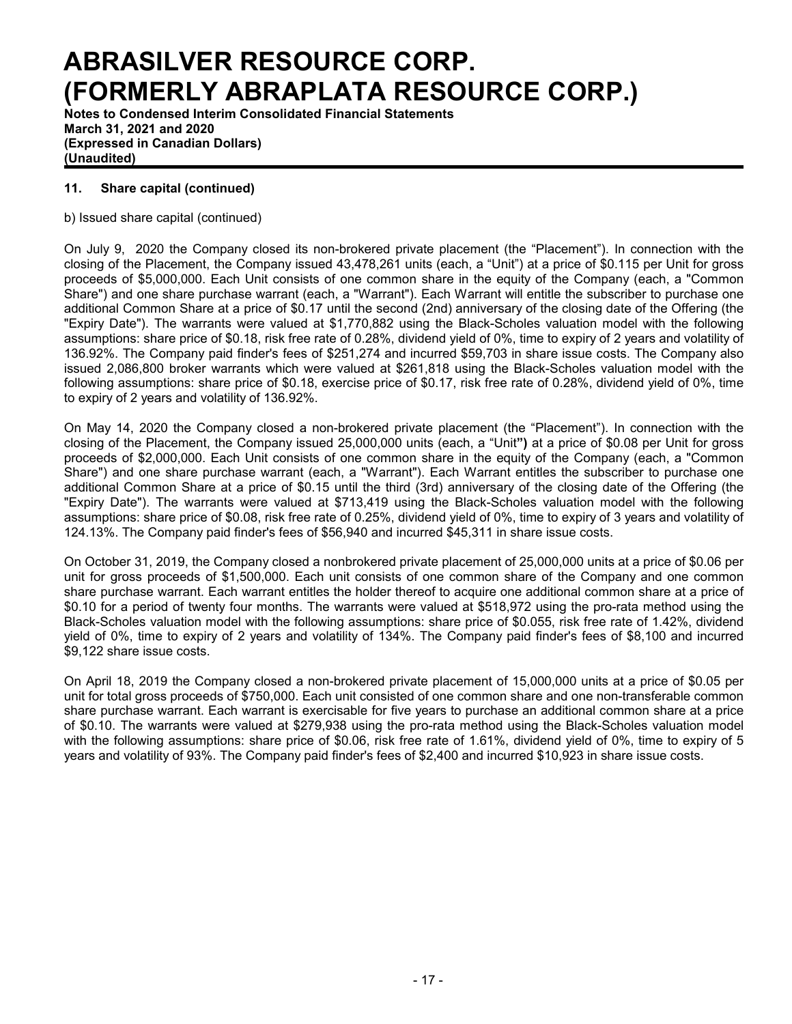**Notes to Condensed Interim Consolidated Financial Statements March 31, 2021 and 2020 (Expressed in Canadian Dollars) (Unaudited)**

## **11. Share capital (continued)**

b) Issued share capital (continued)

On July 9, 2020 the Company closed its non-brokered private placement (the "Placement"). In connection with the closing of the Placement, the Company issued 43,478,261 units (each, a "Unit") at a price of \$0.115 per Unit for gross proceeds of \$5,000,000. Each Unit consists of one common share in the equity of the Company (each, a "Common Share") and one share purchase warrant (each, a "Warrant"). Each Warrant will entitle the subscriber to purchase one additional Common Share at a price of \$0.17 until the second (2nd) anniversary of the closing date of the Offering (the "Expiry Date"). The warrants were valued at \$1,770,882 using the Black-Scholes valuation model with the following assumptions: share price of \$0.18, risk free rate of 0.28%, dividend yield of 0%, time to expiry of 2 years and volatility of 136.92%. The Company paid finder's fees of \$251,274 and incurred \$59,703 in share issue costs. The Company also issued 2,086,800 broker warrants which were valued at \$261,818 using the Black-Scholes valuation model with the following assumptions: share price of \$0.18, exercise price of \$0.17, risk free rate of 0.28%, dividend yield of 0%, time to expiry of 2 years and volatility of 136.92%.

On May 14, 2020 the Company closed a non-brokered private placement (the "Placement"). In connection with the closing of the Placement, the Company issued 25,000,000 units (each, a "Unit**")** at a price of \$0.08 per Unit for gross proceeds of \$2,000,000. Each Unit consists of one common share in the equity of the Company (each, a "Common Share") and one share purchase warrant (each, a "Warrant"). Each Warrant entitles the subscriber to purchase one additional Common Share at a price of \$0.15 until the third (3rd) anniversary of the closing date of the Offering (the "Expiry Date"). The warrants were valued at \$713,419 using the Black-Scholes valuation model with the following assumptions: share price of \$0.08, risk free rate of 0.25%, dividend yield of 0%, time to expiry of 3 years and volatility of 124.13%. The Company paid finder's fees of \$56,940 and incurred \$45,311 in share issue costs.

On October 31, 2019, the Company closed a nonbrokered private placement of 25,000,000 units at a price of \$0.06 per unit for gross proceeds of \$1,500,000. Each unit consists of one common share of the Company and one common share purchase warrant. Each warrant entitles the holder thereof to acquire one additional common share at a price of \$0.10 for a period of twenty four months. The warrants were valued at \$518,972 using the pro-rata method using the Black-Scholes valuation model with the following assumptions: share price of \$0.055, risk free rate of 1.42%, dividend yield of 0%, time to expiry of 2 years and volatility of 134%. The Company paid finder's fees of \$8,100 and incurred \$9,122 share issue costs.

On April 18, 2019 the Company closed a non-brokered private placement of 15,000,000 units at a price of \$0.05 per unit for total gross proceeds of \$750,000. Each unit consisted of one common share and one non-transferable common share purchase warrant. Each warrant is exercisable for five years to purchase an additional common share at a price of \$0.10. The warrants were valued at \$279,938 using the pro-rata method using the Black-Scholes valuation model with the following assumptions: share price of \$0.06, risk free rate of 1.61%, dividend yield of 0%, time to expiry of 5 years and volatility of 93%. The Company paid finder's fees of \$2,400 and incurred \$10,923 in share issue costs.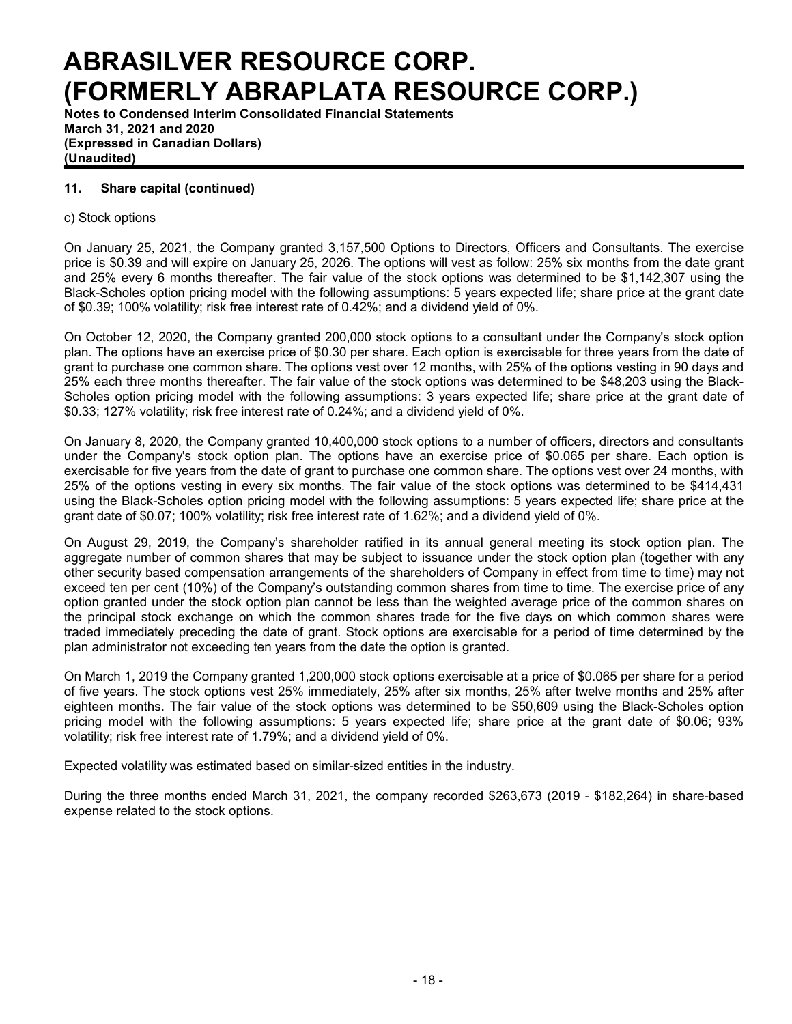**Notes to Condensed Interim Consolidated Financial Statements March 31, 2021 and 2020 (Expressed in Canadian Dollars) (Unaudited)**

## **11. Share capital (continued)**

### c) Stock options

On January 25, 2021, the Company granted 3,157,500 Options to Directors, Officers and Consultants. The exercise price is \$0.39 and will expire on January 25, 2026. The options will vest as follow: 25% six months from the date grant and 25% every 6 months thereafter. The fair value of the stock options was determined to be \$1,142,307 using the Black-Scholes option pricing model with the following assumptions: 5 years expected life; share price at the grant date of \$0.39; 100% volatility; risk free interest rate of 0.42%; and a dividend yield of 0%.

On October 12, 2020, the Company granted 200,000 stock options to a consultant under the Company's stock option plan. The options have an exercise price of \$0.30 per share. Each option is exercisable for three years from the date of grant to purchase one common share. The options vest over 12 months, with 25% of the options vesting in 90 days and 25% each three months thereafter. The fair value of the stock options was determined to be \$48,203 using the Black-Scholes option pricing model with the following assumptions: 3 years expected life; share price at the grant date of \$0.33; 127% volatility; risk free interest rate of 0.24%; and a dividend yield of 0%.

On January 8, 2020, the Company granted 10,400,000 stock options to a number of officers, directors and consultants under the Company's stock option plan. The options have an exercise price of \$0.065 per share. Each option is exercisable for five years from the date of grant to purchase one common share. The options vest over 24 months, with 25% of the options vesting in every six months. The fair value of the stock options was determined to be \$414,431 using the Black-Scholes option pricing model with the following assumptions: 5 years expected life; share price at the grant date of \$0.07; 100% volatility; risk free interest rate of 1.62%; and a dividend yield of 0%.

On August 29, 2019, the Company's shareholder ratified in its annual general meeting its stock option plan. The aggregate number of common shares that may be subject to issuance under the stock option plan (together with any other security based compensation arrangements of the shareholders of Company in effect from time to time) may not exceed ten per cent (10%) of the Company's outstanding common shares from time to time. The exercise price of any option granted under the stock option plan cannot be less than the weighted average price of the common shares on the principal stock exchange on which the common shares trade for the five days on which common shares were traded immediately preceding the date of grant. Stock options are exercisable for a period of time determined by the plan administrator not exceeding ten years from the date the option is granted.

On March 1, 2019 the Company granted 1,200,000 stock options exercisable at a price of \$0.065 per share for a period of five years. The stock options vest 25% immediately, 25% after six months, 25% after twelve months and 25% after eighteen months. The fair value of the stock options was determined to be \$50,609 using the Black-Scholes option pricing model with the following assumptions: 5 years expected life; share price at the grant date of \$0.06; 93% volatility; risk free interest rate of 1.79%; and a dividend yield of 0%.

Expected volatility was estimated based on similar-sized entities in the industry.

During the three months ended March 31, 2021, the company recorded \$263,673 (2019 - \$182,264) in share-based expense related to the stock options.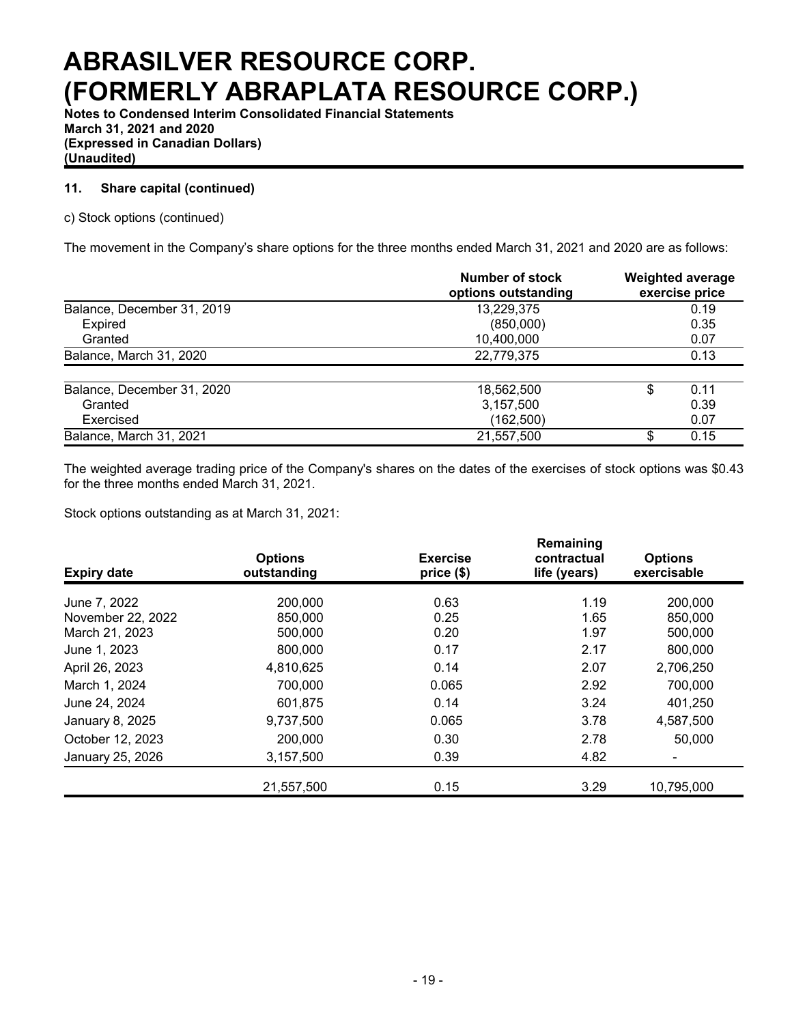**Notes to Condensed Interim Consolidated Financial Statements March 31, 2021 and 2020 (Expressed in Canadian Dollars) (Unaudited)**

## **11. Share capital (continued)**

## c) Stock options (continued)

The movement in the Company's share options for the three months ended March 31, 2021 and 2020 are as follows:

|                            | Number of stock<br>options outstanding | <b>Weighted average</b><br>exercise price |
|----------------------------|----------------------------------------|-------------------------------------------|
| Balance, December 31, 2019 | 13,229,375                             | 0.19                                      |
| Expired                    | (850,000)                              | 0.35                                      |
| Granted                    | 10,400,000                             | 0.07                                      |
| Balance, March 31, 2020    | 22,779,375                             | 0.13                                      |
| Balance, December 31, 2020 | 18,562,500                             | 0.11                                      |
| Granted                    | 3,157,500                              | 0.39                                      |
| Exercised                  | (162,500)                              | 0.07                                      |
| Balance, March 31, 2021    | 21,557,500                             | 0.15                                      |

The weighted average trading price of the Company's shares on the dates of the exercises of stock options was \$0.43 for the three months ended March 31, 2021.

Stock options outstanding as at March 31, 2021:

| <b>Expiry date</b> | <b>Options</b><br>outstanding | <b>Exercise</b><br>price (\$) | Remaining<br>contractual<br>life (years) | <b>Options</b><br>exercisable |
|--------------------|-------------------------------|-------------------------------|------------------------------------------|-------------------------------|
| June 7, 2022       | 200,000                       | 0.63                          | 1.19                                     | 200,000                       |
| November 22, 2022  | 850,000                       | 0.25                          | 1.65                                     | 850,000                       |
| March 21, 2023     | 500,000                       | 0.20                          | 1.97                                     | 500,000                       |
| June 1, 2023       | 800,000                       | 0.17                          | 2.17                                     | 800,000                       |
| April 26, 2023     | 4,810,625                     | 0.14                          | 2.07                                     | 2,706,250                     |
| March 1, 2024      | 700,000                       | 0.065                         | 2.92                                     | 700,000                       |
| June 24, 2024      | 601,875                       | 0.14                          | 3.24                                     | 401,250                       |
| January 8, 2025    | 9,737,500                     | 0.065                         | 3.78                                     | 4,587,500                     |
| October 12, 2023   | 200,000                       | 0.30                          | 2.78                                     | 50,000                        |
| January 25, 2026   | 3,157,500                     | 0.39                          | 4.82                                     |                               |
|                    | 21,557,500                    | 0.15                          | 3.29                                     | 10,795,000                    |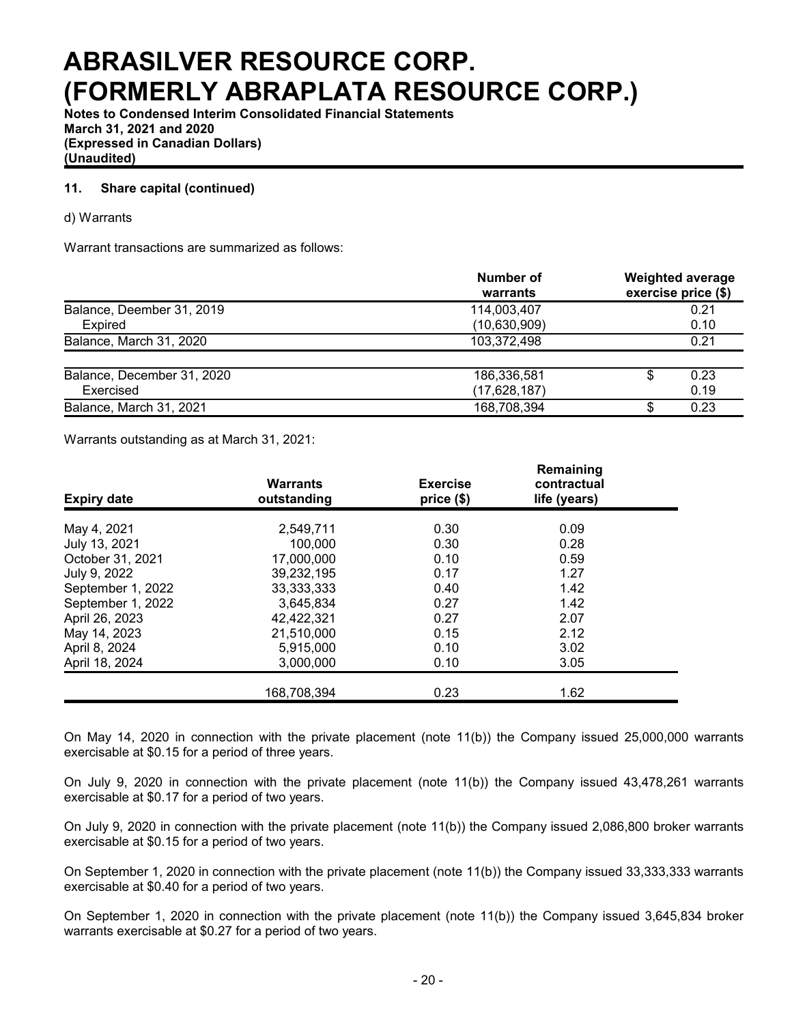**Notes to Condensed Interim Consolidated Financial Statements March 31, 2021 and 2020 (Expressed in Canadian Dollars) (Unaudited)**

## **11. Share capital (continued)**

#### d) Warrants

Warrant transactions are summarized as follows:

|                            | Number of<br>warrants | <b>Weighted average</b><br>exercise price (\$) |  |  |  |  |
|----------------------------|-----------------------|------------------------------------------------|--|--|--|--|
| Balance, Deember 31, 2019  | 114,003,407           | 0.21                                           |  |  |  |  |
| <b>Expired</b>             | (10,630,909)          | 0.10                                           |  |  |  |  |
| Balance, March 31, 2020    | 103,372,498           | 0.21                                           |  |  |  |  |
| Balance, December 31, 2020 | 186,336,581           | 0.23                                           |  |  |  |  |
| Exercised                  | (17,628,187)          | 0.19                                           |  |  |  |  |
| Balance, March 31, 2021    | 168,708,394           | 0.23<br>æ                                      |  |  |  |  |

Warrants outstanding as at March 31, 2021:

| <b>Expiry date</b> | <b>Warrants</b><br>outstanding | <b>Exercise</b><br>price (\$) | Remaining<br>contractual<br>life (years) |  |  |  |  |
|--------------------|--------------------------------|-------------------------------|------------------------------------------|--|--|--|--|
| May 4, 2021        | 2,549,711                      | 0.30                          | 0.09                                     |  |  |  |  |
| July 13, 2021      | 100.000                        | 0.30                          | 0.28                                     |  |  |  |  |
| October 31, 2021   | 17,000,000                     | 0.10                          | 0.59                                     |  |  |  |  |
| July 9, 2022       | 39,232,195                     | 0.17                          | 1.27                                     |  |  |  |  |
| September 1, 2022  | 33, 333, 333                   | 0.40                          | 1.42                                     |  |  |  |  |
| September 1, 2022  | 3.645.834                      | 0.27                          | 1.42                                     |  |  |  |  |
| April 26, 2023     | 42,422,321                     | 0.27                          | 2.07                                     |  |  |  |  |
| May 14, 2023       | 21,510,000                     | 0.15                          | 2.12                                     |  |  |  |  |
| April 8, 2024      | 5,915,000                      | 0.10                          | 3.02                                     |  |  |  |  |
| April 18, 2024     | 3,000,000                      | 0.10                          | 3.05                                     |  |  |  |  |
|                    | 168,708,394                    | 0.23                          | 1.62                                     |  |  |  |  |

On May 14, 2020 in connection with the private placement (note 11(b)) the Company issued 25,000,000 warrants exercisable at \$0.15 for a period of three years.

On July 9, 2020 in connection with the private placement (note 11(b)) the Company issued 43,478,261 warrants exercisable at \$0.17 for a period of two years.

On July 9, 2020 in connection with the private placement (note 11(b)) the Company issued 2,086,800 broker warrants exercisable at \$0.15 for a period of two years.

On September 1, 2020 in connection with the private placement (note 11(b)) the Company issued 33,333,333 warrants exercisable at \$0.40 for a period of two years.

On September 1, 2020 in connection with the private placement (note 11(b)) the Company issued 3,645,834 broker warrants exercisable at \$0.27 for a period of two years.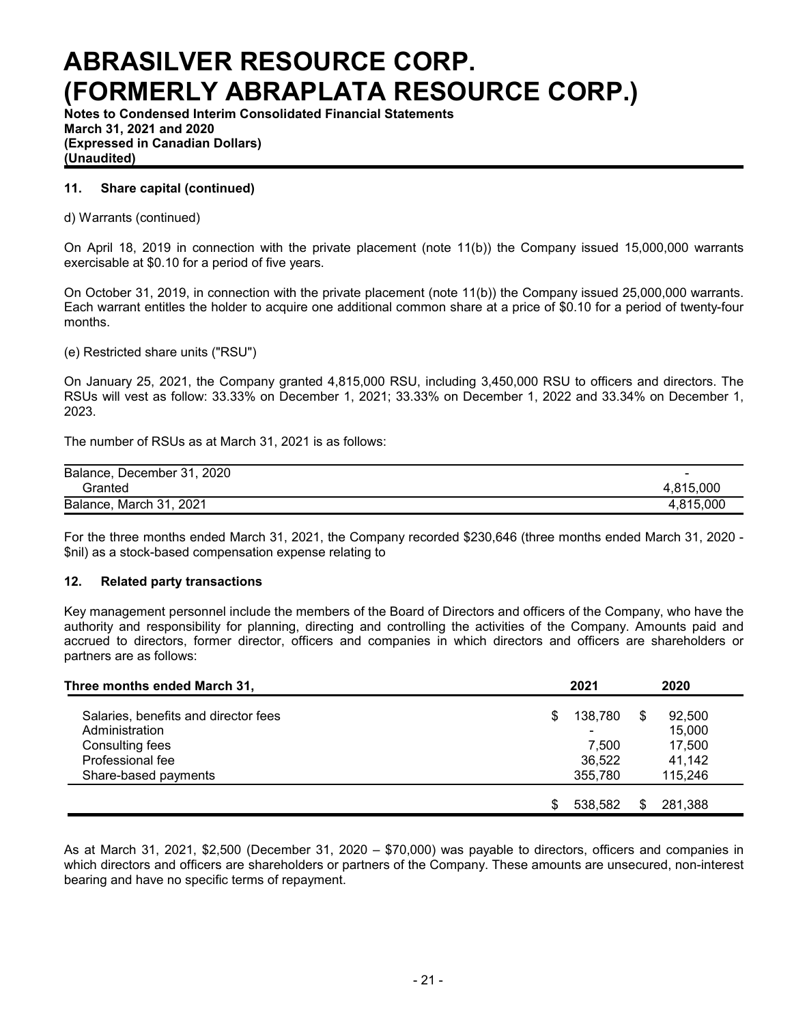**Notes to Condensed Interim Consolidated Financial Statements March 31, 2021 and 2020 (Expressed in Canadian Dollars) (Unaudited)**

### **11. Share capital (continued)**

d) Warrants (continued)

On April 18, 2019 in connection with the private placement (note 11(b)) the Company issued 15,000,000 warrants exercisable at \$0.10 for a period of five years.

On October 31, 2019, in connection with the private placement (note 11(b)) the Company issued 25,000,000 warrants. Each warrant entitles the holder to acquire one additional common share at a price of \$0.10 for a period of twenty-four months.

(e) Restricted share units ("RSU")

On January 25, 2021, the Company granted 4,815,000 RSU, including 3,450,000 RSU to officers and directors. The RSUs will vest as follow: 33.33% on December 1, 2021; 33.33% on December 1, 2022 and 33.34% on December 1, 2023.

The number of RSUs as at March 31, 2021 is as follows:

| Balance, December 31, 2020 | $\overline{\phantom{a}}$ |
|----------------------------|--------------------------|
| Granted                    | 4.815.000                |
| Balance, March 31, 2021    | 4.815.000                |

For the three months ended March 31, 2021, the Company recorded \$230,646 (three months ended March 31, 2020 - \$nil) as a stock-based compensation expense relating to

#### **12. Related party transactions**

Key management personnel include the members of the Board of Directors and officers of the Company, who have the authority and responsibility for planning, directing and controlling the activities of the Company. Amounts paid and accrued to directors, former director, officers and companies in which directors and officers are shareholders or partners are as follows:

| Three months ended March 31,                                              |   | 2021                               |   | 2020                       |  |  |
|---------------------------------------------------------------------------|---|------------------------------------|---|----------------------------|--|--|
| Salaries, benefits and director fees<br>Administration<br>Consulting fees | S | 138,780<br>$\blacksquare$<br>7,500 | S | 92,500<br>15,000<br>17,500 |  |  |
| Professional fee<br>Share-based payments                                  |   | 36,522<br>355,780                  |   | 41,142<br>115,246          |  |  |
|                                                                           |   | 538.582                            | S | 281,388                    |  |  |

As at March 31, 2021, \$2,500 (December 31, 2020 – \$70,000) was payable to directors, officers and companies in which directors and officers are shareholders or partners of the Company. These amounts are unsecured, non-interest bearing and have no specific terms of repayment.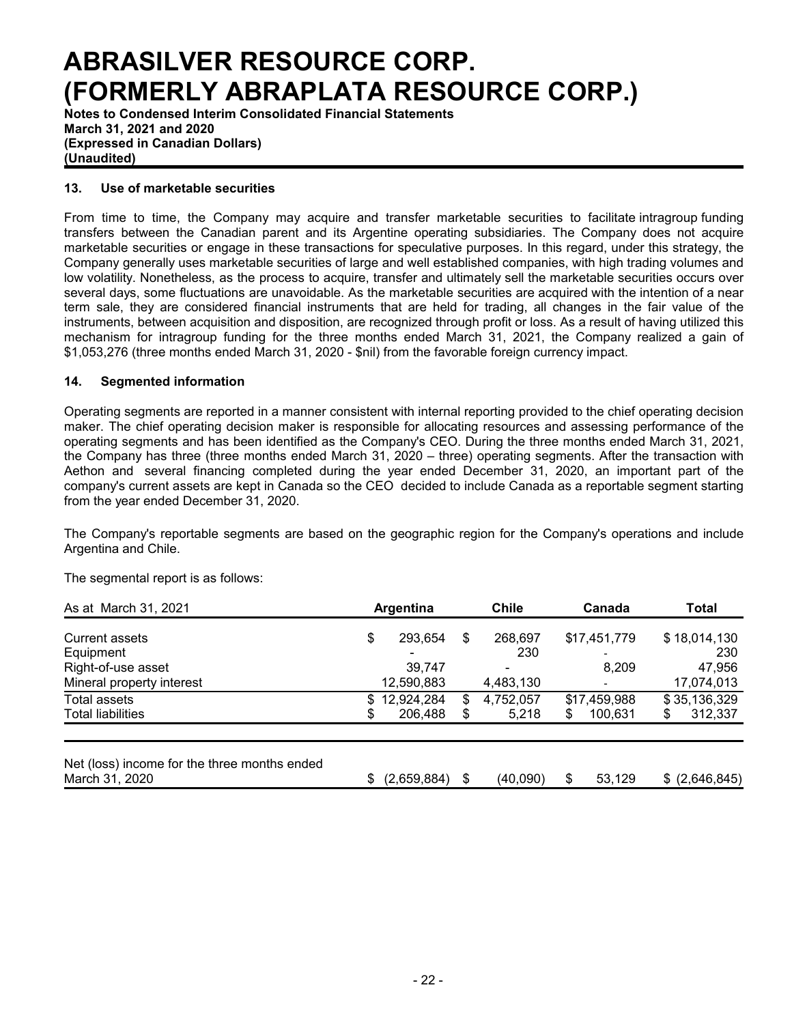**Notes to Condensed Interim Consolidated Financial Statements March 31, 2021 and 2020 (Expressed in Canadian Dollars) (Unaudited)**

### **13. Use of marketable securities**

From time to time, the Company may acquire and transfer marketable securities to facilitate intragroup funding transfers between the Canadian parent and its Argentine operating subsidiaries. The Company does not acquire marketable securities or engage in these transactions for speculative purposes. In this regard, under this strategy, the Company generally uses marketable securities of large and well established companies, with high trading volumes and low volatility. Nonetheless, as the process to acquire, transfer and ultimately sell the marketable securities occurs over several days, some fluctuations are unavoidable. As the marketable securities are acquired with the intention of a near term sale, they are considered financial instruments that are held for trading, all changes in the fair value of the instruments, between acquisition and disposition, are recognized through profit or loss. As a result of having utilized this mechanism for intragroup funding for the three months ended March 31, 2021, the Company realized a gain of \$1,053,276 (three months ended March 31, 2020 - \$nil) from the favorable foreign currency impact.

### **14. Segmented information**

Operating segments are reported in a manner consistent with internal reporting provided to the chief operating decision maker. The chief operating decision maker is responsible for allocating resources and assessing performance of the operating segments and has been identified as the Company's CEO. During the three months ended March 31, 2021, the Company has three (three months ended March 31, 2020 – three) operating segments. After the transaction with Aethon and several financing completed during the year ended December 31, 2020, an important part of the company's current assets are kept in Canada so the CEO decided to include Canada as a reportable segment starting from the year ended December 31, 2020.

The Company's reportable segments are based on the geographic region for the Company's operations and include Argentina and Chile.

The segmental report is as follows:

| As at March 31, 2021                                           |     | Argentina   | <b>Chile</b>    | Canada                   | Total |                 |  |
|----------------------------------------------------------------|-----|-------------|-----------------|--------------------------|-------|-----------------|--|
| <b>Current assets</b>                                          | \$  | 293,654     | \$<br>268,697   | \$17,451,779             |       | \$18,014,130    |  |
| Equipment                                                      |     |             | 230             | $\overline{\phantom{0}}$ |       | 230             |  |
| Right-of-use asset                                             |     | 39,747      |                 | 8,209                    |       | 47,956          |  |
| Mineral property interest                                      |     | 12,590,883  | 4,483,130       |                          |       | 17,074,013      |  |
| Total assets                                                   | \$. | 12,924,284  | \$<br>4,752,057 | \$17,459,988             |       | \$35,136,329    |  |
| <b>Total liabilities</b>                                       | £.  | 206,488     | \$<br>5,218     | \$<br>100.631            | \$    | 312,337         |  |
| Net (loss) income for the three months ended<br>March 31, 2020 |     | (2,659,884) | \$<br>(40,090)  | 53,129                   |       | $$$ (2,646,845) |  |